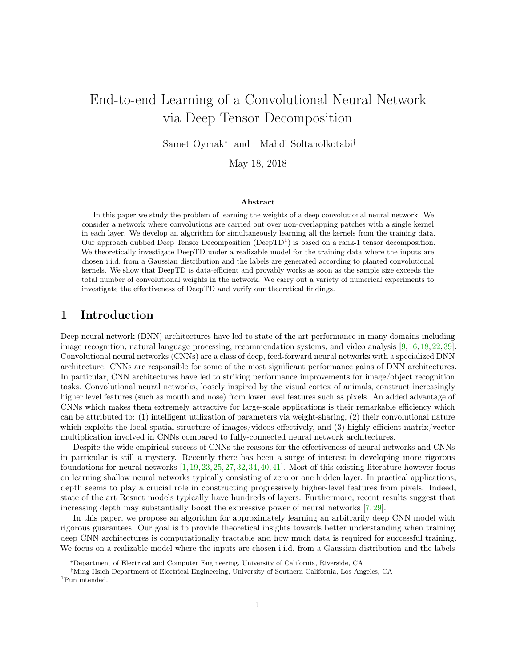# <span id="page-0-0"></span>End-to-end Learning of a Convolutional Neural Network via Deep Tensor Decomposition

Samet Oymak<sup>∗</sup> and Mahdi Soltanolkotabi†

May 18, 2018

#### Abstract

In this paper we study the problem of learning the weights of a deep convolutional neural network. We consider a network where convolutions are carried out over non-overlapping patches with a single kernel in each layer. We develop an algorithm for simultaneously learning all the kernels from the training data. Our approach dubbed Deep Tensor Decomposition ( $DeepTD<sup>1</sup>$ ) is based on a rank-1 tensor decomposition. We theoretically investigate DeepTD under a realizable model for the training data where the inputs are chosen i.i.d. from a Gaussian distribution and the labels are generated according to planted convolutional kernels. We show that DeepTD is data-efficient and provably works as soon as the sample size exceeds the total number of convolutional weights in the network. We carry out a variety of numerical experiments to investigate the effectiveness of DeepTD and verify our theoretical findings.

### 1 Introduction

Deep neural network (DNN) architectures have led to state of the art performance in many domains including image recognition, natural language processing, recommendation systems, and video analysis [\[9,](#page-26-0) [16,](#page-27-0) [18,](#page-27-1) [22,](#page-27-2) [39\]](#page-27-3). Convolutional neural networks (CNNs) are a class of deep, feed-forward neural networks with a specialized DNN architecture. CNNs are responsible for some of the most significant performance gains of DNN architectures. In particular, CNN architectures have led to striking performance improvements for image/object recognition tasks. Convolutional neural networks, loosely inspired by the visual cortex of animals, construct increasingly higher level features (such as mouth and nose) from lower level features such as pixels. An added advantage of CNNs which makes them extremely attractive for large-scale applications is their remarkable efficiency which can be attributed to: (1) intelligent utilization of parameters via weight-sharing, (2) their convolutional nature which exploits the local spatial structure of images/videos effectively, and (3) highly efficient matrix/vector multiplication involved in CNNs compared to fully-connected neural network architectures.

Despite the wide empirical success of CNNs the reasons for the effectiveness of neural networks and CNNs in particular is still a mystery. Recently there has been a surge of interest in developing more rigorous foundations for neural networks  $[1, 19, 23, 25, 27, 32, 34, 40, 41]$  $[1, 19, 23, 25, 27, 32, 34, 40, 41]$  $[1, 19, 23, 25, 27, 32, 34, 40, 41]$  $[1, 19, 23, 25, 27, 32, 34, 40, 41]$  $[1, 19, 23, 25, 27, 32, 34, 40, 41]$  $[1, 19, 23, 25, 27, 32, 34, 40, 41]$  $[1, 19, 23, 25, 27, 32, 34, 40, 41]$  $[1, 19, 23, 25, 27, 32, 34, 40, 41]$  $[1, 19, 23, 25, 27, 32, 34, 40, 41]$  $[1, 19, 23, 25, 27, 32, 34, 40, 41]$  $[1, 19, 23, 25, 27, 32, 34, 40, 41]$  $[1, 19, 23, 25, 27, 32, 34, 40, 41]$  $[1, 19, 23, 25, 27, 32, 34, 40, 41]$  $[1, 19, 23, 25, 27, 32, 34, 40, 41]$  $[1, 19, 23, 25, 27, 32, 34, 40, 41]$  $[1, 19, 23, 25, 27, 32, 34, 40, 41]$  $[1, 19, 23, 25, 27, 32, 34, 40, 41]$ . Most of this existing literature however focus on learning shallow neural networks typically consisting of zero or one hidden layer. In practical applications, depth seems to play a crucial role in constructing progressively higher-level features from pixels. Indeed, state of the art Resnet models typically have hundreds of layers. Furthermore, recent results suggest that increasing depth may substantially boost the expressive power of neural networks [\[7,](#page-26-2) [29\]](#page-27-10).

In this paper, we propose an algorithm for approximately learning an arbitrarily deep CNN model with rigorous guarantees. Our goal is to provide theoretical insights towards better understanding when training deep CNN architectures is computationally tractable and how much data is required for successful training. We focus on a realizable model where the inputs are chosen i.i.d. from a Gaussian distribution and the labels

<sup>∗</sup>Department of Electrical and Computer Engineering, University of California, Riverside, CA

<sup>†</sup>Ming Hsieh Department of Electrical Engineering, University of Southern California, Los Angeles, CA

<sup>1</sup>Pun intended.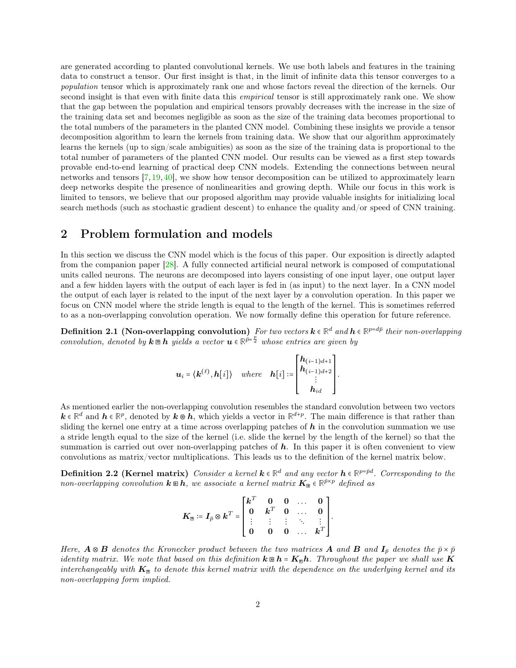are generated according to planted convolutional kernels. We use both labels and features in the training data to construct a tensor. Our first insight is that, in the limit of infinite data this tensor converges to a population tensor which is approximately rank one and whose factors reveal the direction of the kernels. Our second insight is that even with finite data this *empirical* tensor is still approximately rank one. We show that the gap between the population and empirical tensors provably decreases with the increase in the size of the training data set and becomes negligible as soon as the size of the training data becomes proportional to the total numbers of the parameters in the planted CNN model. Combining these insights we provide a tensor decomposition algorithm to learn the kernels from training data. We show that our algorithm approximately learns the kernels (up to sign/scale ambiguities) as soon as the size of the training data is proportional to the total number of parameters of the planted CNN model. Our results can be viewed as a first step towards provable end-to-end learning of practical deep CNN models. Extending the connections between neural networks and tensors [\[7,](#page-26-2) [19,](#page-27-4) [40\]](#page-28-0), we show how tensor decomposition can be utilized to approximately learn deep networks despite the presence of nonlinearities and growing depth. While our focus in this work is limited to tensors, we believe that our proposed algorithm may provide valuable insights for initializing local search methods (such as stochastic gradient descent) to enhance the quality and/or speed of CNN training.

# 2 Problem formulation and models

In this section we discuss the CNN model which is the focus of this paper. Our exposition is directly adapted from the companion paper [\[28\]](#page-27-11). A fully connected artificial neural network is composed of computational units called neurons. The neurons are decomposed into layers consisting of one input layer, one output layer and a few hidden layers with the output of each layer is fed in (as input) to the next layer. In a CNN model the output of each layer is related to the input of the next layer by a convolution operation. In this paper we focus on CNN model where the stride length is equal to the length of the kernel. This is sometimes referred to as a non-overlapping convolution operation. We now formally define this operation for future reference.

 $\textbf{Definition 2.1 (Non-overlapping convolution)}$  For two vectors  $\mathbf{k} \in \mathbb{R}^d$  and  $\mathbf{h} \in \mathbb{R}^{p=d\bar{p}}$  their non-overlapping convolution, denoted by  $k \nvert \mathbf{z} \rvert$  has a vector  $\mathbf{u} \in \mathbb{R}^{\bar{p} = \frac{p}{d}}$  whose entries are given by

$$
\boldsymbol{u}_i = \langle \boldsymbol{k}^{(\ell)}, \boldsymbol{h}[i] \rangle \quad where \quad \boldsymbol{h}[i] := \begin{bmatrix} \boldsymbol{h}_{(i-1)d+1} \\ \boldsymbol{h}_{(i-1)d+2} \\ \vdots \\ \boldsymbol{h}_{id} \end{bmatrix}.
$$

As mentioned earlier the non-overlapping convolution resembles the standard convolution between two vectors  $k \in \mathbb{R}^d$  and  $h \in \mathbb{R}^p$ , denoted by  $k \otimes h$ , which yields a vector in  $\mathbb{R}^{d+p}$ . The main difference is that rather than sliding the kernel one entry at a time across overlapping patches of  $h$  in the convolution summation we use a stride length equal to the size of the kernel (i.e. slide the kernel by the length of the kernel) so that the summation is carried out over non-overlapping patches of  $h$ . In this paper it is often convenient to view convolutions as matrix/vector multiplications. This leads us to the definition of the kernel matrix below.

**Definition 2.2 (Kernel matrix)** Consider a kernel  $k \in \mathbb{R}^d$  and any vector  $h \in \mathbb{R}^{p=\bar{p}d}$ . Corresponding to the  $non-overlapping\,\, convolution\,\, \boldsymbol{k}\equiv\boldsymbol{h},\,\, we\,\, associative\,\, a\,\,kernel\,\,matrix\,\, \boldsymbol{K}_{\Xi}\in\mathbb{R}^{\bar{p}\times p}\,\, defined\,\, as\,\, as\,\, the\,\,non-invariant\,\, \boldsymbol{K}_{\Xi}\in\mathbb{R}^{\bar{p}\times p}\,\, defined\,\, as\,\, as\,\, the\,\,non-invariant\,\, \boldsymbol{K}_{\Xi}\in\mathbb{R}^{\bar{p}\times p}\,\, defined\,\, as\,\, as\,\, the\,\,non-invariant\,\, \boldsymbol{K}_{\Xi}\in\mathbb{R}^{\bar{p}\times p}\,\,$ 

$$
\boldsymbol{K}_{\mathbb{B}} \coloneqq \boldsymbol{I}_{\bar{p}} \otimes \boldsymbol{k}^T = \begin{bmatrix} \boldsymbol{k}^T & \boldsymbol{0} & \boldsymbol{0} & \dots & \boldsymbol{0} \\ \boldsymbol{0} & \boldsymbol{k}^T & \boldsymbol{0} & \dots & \boldsymbol{0} \\ \vdots & \vdots & \vdots & \ddots & \vdots \\ \boldsymbol{0} & \boldsymbol{0} & \boldsymbol{0} & \dots & \boldsymbol{k}^T \end{bmatrix}
$$

<span id="page-1-0"></span>.

Here,  $\bf{A} \otimes \bf{B}$  denotes the Kronecker product between the two matrices  $\bf{A}$  and  $\bf{B}$  and  $\bf{I}_{\bar{p}}$  denotes the  $\bar{p} \times \bar{p}$ identity matrix. We note that based on this definition  $k \boxtimes h = K_{\boxplus}h$ . Throughout the paper we shall use K interchangeably with  $K_{\mathbb{B}}$  to denote this kernel matrix with the dependence on the underlying kernel and its non-overlapping form implied.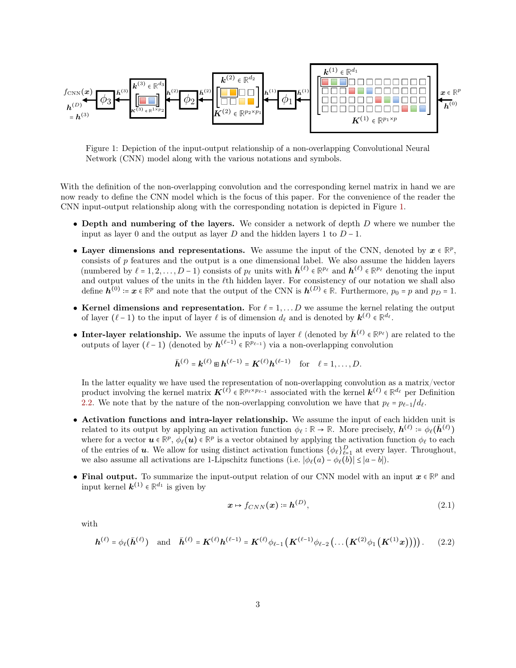<span id="page-2-0"></span>

Figure 1: Depiction of the input-output relationship of a non-overlapping Convolutional Neural Network (CNN) model along with the various notations and symbols.

With the definition of the non-overlapping convolution and the corresponding kernel matrix in hand we are now ready to define the CNN model which is the focus of this paper. For the convenience of the reader the CNN input-output relationship along with the corresponding notation is depicted in Figure [1.](#page-2-0)

- Depth and numbering of the layers. We consider a network of depth  $D$  where we number the input as layer 0 and the output as layer D and the hidden layers 1 to  $D-1$ .
- Layer dimensions and representations. We assume the input of the CNN, denoted by  $x \in \mathbb{R}^p$ , consists of  $p$  features and the output is a one dimensional label. We also assume the hidden layers (numbered by  $\ell = 1, 2, ..., D - 1$ ) consists of  $p_\ell$  units with  $\bar{h}^{(\ell)} \in \mathbb{R}^{p_\ell}$  and  $h^{(\ell)} \in \mathbb{R}^{p_\ell}$  denoting the input and output values of the units in the  $\ell$ th hidden layer. For consistency of our notation we shall also define  $h^{(0)} \coloneqq x \in \mathbb{R}^p$  and note that the output of the CNN is  $h^{(D)} \in \mathbb{R}$ . Furthermore,  $p_0 = p$  and  $p_D = 1$ .
- Kernel dimensions and representation. For  $\ell = 1, \ldots D$  we assume the kernel relating the output of layer  $(\ell - 1)$  to the input of layer  $\ell$  is of dimension  $d_{\ell}$  and is denoted by  $\mathbf{k}^{(\ell)} \in \mathbb{R}^{d_{\ell}}$ .
- Inter-layer relationship. We assume the inputs of layer  $\ell$  (denoted by  $\bar{h}^{(\ell)} \in \mathbb{R}^{p_{\ell}}$ ) are related to the outputs of layer  $(\ell - 1)$  (denoted by  $h^{(\ell-1)}$  ∈  $\mathbb{R}^{p_{\ell-1}}$ ) via a non-overlapping convolution

$$
\bar{\boldsymbol{h}}^{(\ell)} = \boldsymbol{k}^{(\ell)} \boxtimes \boldsymbol{h}^{(\ell-1)} = \boldsymbol{K}^{(\ell)} \boldsymbol{h}^{(\ell-1)} \quad \text{for} \quad \ell = 1, \ldots, D.
$$

In the latter equality we have used the representation of non-overlapping convolution as a matrix/vector product involving the kernel matrix  $K^{(\ell)} \in \mathbb{R}^{p_\ell \times p_{\ell-1}}$  associated with the kernel  $k^{(\ell)} \in \mathbb{R}^{d_\ell}$  per Definition [2.2.](#page-1-0) We note that by the nature of the non-overlapping convolution we have that  $p_\ell = p_{\ell-1}/d_\ell$ .

- Activation functions and intra-layer relationship. We assume the input of each hidden unit is related to its output by applying an activation function  $\phi_{\ell} : \mathbb{R} \to \mathbb{R}$ . More precisely,  $h^{(\ell)} \coloneqq \phi_{\ell}(\bar{h}^{(\ell)})$ where for a vector  $u \in \mathbb{R}^p$ ,  $\phi_\ell(u) \in \mathbb{R}^p$  is a vector obtained by applying the activation function  $\phi_\ell$  to each of the entries of **u**. We allow for using distinct activation functions  $\{\phi_{\ell}\}_{\ell=1}^D$  at every layer. Throughout, we also assume all activations are 1-Lipschitz functions (i.e.  $|\phi_{\ell}(a) - \phi_{\ell}(b)| \leq |a - b|$ ).
- Final output. To summarize the input-output relation of our CNN model with an input  $x \in \mathbb{R}^p$  and input kernel  $\mathbf{k}^{(1)} \in \mathbb{R}^{d_1}$  is given by

<span id="page-2-2"></span><span id="page-2-1"></span>
$$
\boldsymbol{x} \mapsto f_{CNN}(\boldsymbol{x}) \coloneqq \boldsymbol{h}^{(D)}, \tag{2.1}
$$

with

$$
\boldsymbol{h}^{(\ell)} = \phi_{\ell}(\bar{\boldsymbol{h}}^{(\ell)}) \quad \text{and} \quad \bar{\boldsymbol{h}}^{(\ell)} = \boldsymbol{K}^{(\ell)} \boldsymbol{h}^{(\ell-1)} = \boldsymbol{K}^{(\ell)} \phi_{\ell-1} \left( \boldsymbol{K}^{(\ell-1)} \phi_{\ell-2} \left( \dots \left( \boldsymbol{K}^{(2)} \phi_1 \left( \boldsymbol{K}^{(1)} \boldsymbol{x} \right) \right) \right) \right). \tag{2.2}
$$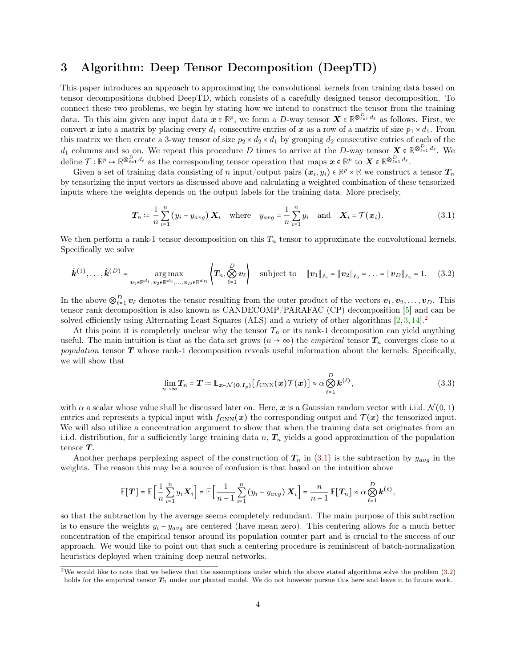### 3 Algorithm: Deep Tensor Decomposition (DeepTD)

This paper introduces an approach to approximating the convolutional kernels from training data based on tensor decompositions dubbed DeepTD, which consists of a carefully designed tensor decomposition. To connect these two problems, we begin by stating how we intend to construct the tensor from the training data. To this aim given any input data  $x \in \mathbb{R}^p$ , we form a D-way tensor  $X \in \mathbb{R}^{\otimes_{\ell=1}^D d_\ell}$  as follows. First, we convert x into a matrix by placing every  $d_1$  consecutive entries of x as a row of a matrix of size  $p_1 \times d_1$ . From this matrix we then create a 3-way tensor of size  $p_2 \times d_2 \times d_1$  by grouping  $d_2$  consecutive entries of each of the  $d_1$  columns and so on. We repeat this procedure D times to arrive at the D-way tensor  $\mathbf{X} \in \mathbb{R}^{\bigotimes_{\ell=1}^D d_{\ell}}$ . We  $\text{define } \mathcal{T} : \mathbb{R}^p \mapsto \mathbb{R}^{\otimes_{\ell=1}^D d_\ell} \text{ as the corresponding tensor operation that maps } \boldsymbol{x} \in \mathbb{R}^p \text{ to } \boldsymbol{X} \in \mathbb{R}^{\otimes_{\ell=1}^D d_\ell}.$ 

Given a set of training data consisting of n input/output pairs  $(x_i, y_i) \in \mathbb{R}^p \times \mathbb{R}$  we construct a tensor  $T_n$ by tensorizing the input vectors as discussed above and calculating a weighted combination of these tensorized inputs where the weights depends on the output labels for the training data. More precisely,

<span id="page-3-0"></span>
$$
\boldsymbol{T}_n \coloneqq \frac{1}{n} \sum_{i=1}^n \left( y_i - y_{avg} \right) \boldsymbol{X}_i \quad \text{where} \quad y_{avg} = \frac{1}{n} \sum_{i=1}^n y_i \quad \text{and} \quad \boldsymbol{X}_i = \mathcal{T}(\boldsymbol{x}_i). \tag{3.1}
$$

We then perform a rank-1 tensor decomposition on this  $T_n$  tensor to approximate the convolutional kernels. Specifically we solve

$$
\hat{\bm{k}}^{(1)}, \ldots, \hat{\bm{k}}^{(D)} = \underset{\bm{v}_1 \in \mathbb{R}^{d_1}, \bm{v}_2 \in \mathbb{R}^{d_2}, \ldots, \bm{v}_D \in \mathbb{R}^{d_D}}{\arg \max} \left\{ T_n, \bigotimes_{\ell=1}^D \bm{v}_\ell \right\} \quad \text{subject to} \quad \|\bm{v}_1\|_{\ell_2} = \|\bm{v}_2\|_{\ell_2} = \ldots = \|\bm{v}_D\|_{\ell_2} = 1. \tag{3.2}
$$

In the above  $\otimes_{\ell=1}^D v_\ell$  denotes the tensor resulting from the outer product of the vectors  $v_1, v_2, \ldots, v_D$ . This tensor rank decomposition is also known as CANDECOMP/PARAFAC (CP) decomposition [\[5\]](#page-26-3) and can be solved efficiently using Alternating Least Squares (ALS) and a variety of other algorithms  $[2, 3, 14]$  $[2, 3, 14]$  $[2, 3, 14]$  $[2, 3, 14]$  $[2, 3, 14]$ .

At this point it is completely unclear why the tensor  $T_n$  or its rank-1 decomposition can yield anything useful. The main intuition is that as the data set grows  $(n \to \infty)$  the *empirical* tensor  $T_n$  converges close to a population tensor  $T$  whose rank-1 decomposition reveals useful information about the kernels. Specifically, we will show that

<span id="page-3-2"></span><span id="page-3-1"></span>
$$
\lim_{n\to\infty} T_n = T := \mathbb{E}_{\mathbf{x}\sim\mathcal{N}(\mathbf{0},I_p)}[f_{\text{CNN}}(\mathbf{x})\mathcal{T}(\mathbf{x})] \approx \alpha \bigotimes_{\ell=1}^D \mathbf{k}^{(\ell)},
$$
\n(3.3)

with  $\alpha$  a scalar whose value shall be discussed later on. Here, x is a Gaussian random vector with i.i.d.  $\mathcal{N}(0,1)$ entries and represents a typical input with  $f_{\text{CNN}}(x)$  the corresponding output and  $\mathcal{T}(x)$  the tensorized input. We will also utilize a concentration argument to show that when the training data set originates from an i.i.d. distribution, for a sufficiently large training data  $n, T_n$  yields a good approximation of the population tensor  $T$ .

Another perhaps perplexing aspect of the construction of  $T_n$  in [\(3.1\)](#page-3-0) is the subtraction by  $y_{avg}$  in the weights. The reason this may be a source of confusion is that based on the intuition above

$$
\mathbb{E}[\boldsymbol{T}] = \mathbb{E}\Big[\frac{1}{n}\sum_{i=1}^n y_i \boldsymbol{X}_i\Big] = \mathbb{E}\Big[\frac{1}{n-1}\sum_{i=1}^n (y_i - y_{avg}) \boldsymbol{X}_i\Big] = \frac{n}{n-1} \mathbb{E}[\boldsymbol{T}_n] \approx \alpha \bigotimes_{\ell=1}^D \boldsymbol{k}^{(\ell)},
$$

so that the subtraction by the average seems completely redundant. The main purpose of this subtraction is to ensure the weights  $y_i - y_{avg}$  are centered (have mean zero). This centering allows for a much better concentration of the empirical tensor around its population counter part and is crucial to the success of our approach. We would like to point out that such a centering procedure is reminiscent of batch-normalization heuristics deployed when training deep neural networks.

<sup>&</sup>lt;sup>2</sup>We would like to note that we believe that the assumptions under which the above stated algorithms solve the problem  $(3.2)$ holds for the empirical tensor  $T_n$  under our planted model. We do not however pursue this here and leave it to future work.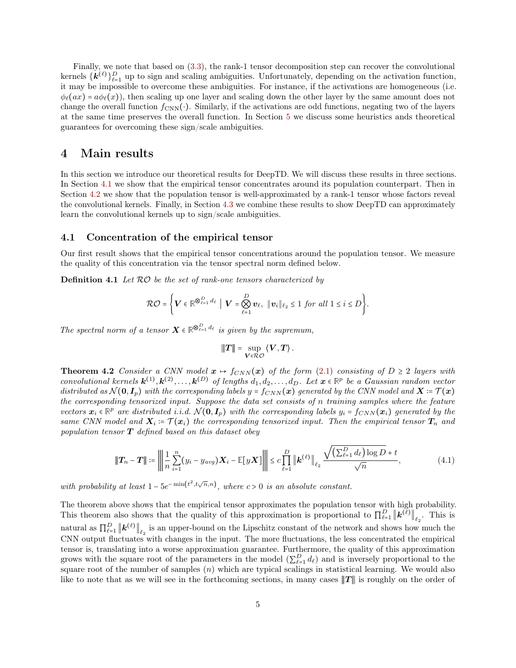Finally, we note that based on [\(3.3\)](#page-3-2), the rank-1 tensor decomposition step can recover the convolutional kernels  $\{k^{(\ell)}\}_{\ell=1}^D$  up to sign and scaling ambiguities. Unfortunately, depending on the activation function, it may be impossible to overcome these ambiguities. For instance, if the activations are homogeneous (i.e.  $\phi_{\ell}(ax) = a\phi_{\ell}(x)$ , then scaling up one layer and scaling down the other layer by the same amount does not change the overall function  $f_{\text{CNN}}(\cdot)$ . Similarly, if the activations are odd functions, negating two of the layers at the same time preserves the overall function. In Section [5](#page-7-0) we discuss some heuristics ands theoretical guarantees for overcoming these sign/scale ambiguities.

### <span id="page-4-3"></span>4 Main results

In this section we introduce our theoretical results for DeepTD. We will discuss these results in three sections. In Section [4.1](#page-4-0) we show that the empirical tensor concentrates around its population counterpart. Then in Section [4.2](#page-5-0) we show that the population tensor is well-approximated by a rank-1 tensor whose factors reveal the convolutional kernels. Finally, in Section [4.3](#page-6-0) we combine these results to show DeepTD can approximately learn the convolutional kernels up to sign/scale ambiguities.

#### <span id="page-4-0"></span>4.1 Concentration of the empirical tensor

Our first result shows that the empirical tensor concentrations around the population tensor. We measure the quality of this concentration via the tensor spectral norm defined below.

**Definition 4.1** Let  $RO$  be the set of rank-one tensors characterized by

$$
\mathcal{RO} = \left\{ \mathbf{V} \in \mathbb{R}^{\bigotimes_{\ell=1}^{D} d_{\ell}} \middle| \mathbf{V} = \bigotimes_{\ell=1}^{D} \mathbf{v}_{\ell}, \ \|\mathbf{v}_{i}\|_{\ell_{2}} \leq 1 \text{ for all } 1 \leq i \leq D \right\}.
$$

The spectral norm of a tensor  $X \in \mathbb{R}^{\otimes_{\ell=1}^D d_\ell}$  is given by the supremum,

<span id="page-4-1"></span>
$$
|\!|\!| T |\!|\!| = \sup_{V \in \mathcal{RO}} \left\langle V, T \right\rangle.
$$

<span id="page-4-2"></span>**Theorem 4.2** Consider a CNN model  $x \mapsto f_{CNN}(x)$  of the form [\(2.1\)](#page-2-1) consisting of  $D \ge 2$  layers with convolutional kernels  $\mathbf{k}^{(1)}, \mathbf{k}^{(2)}, \ldots, \mathbf{k}^{(D)}$  of lengths  $d_1, d_2, \ldots, d_D$ . Let  $\mathbf{x} \in \mathbb{R}^p$  be a Gaussian random vector distributed as  $\mathcal{N}(\mathbf{0}, I_p)$  with the corresponding labels  $y = f_{CNN}(\boldsymbol{x})$  generated by the CNN model and  $\boldsymbol{X} = \mathcal{T}(\boldsymbol{x})$ the corresponding tensorized input. Suppose the data set consists of n training samples where the feature vectors  $x_i \in \mathbb{R}^p$  are distributed i.i.d.  $\mathcal{N}(\mathbf{0}, \mathbf{I}_p)$  with the corresponding labels  $y_i = f_{CNN}(x_i)$  generated by the same CNN model and  $X_i = \mathcal{T}(\bm{x}_i)$  the corresponding tensorized input. Then the empirical tensor  $\bm{T}_n$  and population tensor  $T$  defined based on this dataset obey

$$
\|\bm{T}_n - \bm{T}\| \coloneqq \left\| \frac{1}{n} \sum_{i=1}^n (y_i - y_{avg}) \bm{X}_i - \mathbb{E}[y \bm{X}] \right\| \leq c \prod_{\ell=1}^D \|\bm{k}^{(\ell)}\|_{\ell_2} \frac{\sqrt{(\sum_{\ell=1}^D d_\ell) \log D} + t}{\sqrt{n}}, \tag{4.1}
$$

with probability at least  $1 - 5e^{-\min(t^2, t\sqrt{n}, n)}$ , where  $c > 0$  is an absolute constant.

The theorem above shows that the empirical tensor approximates the population tensor with high probability. This theorem also shows that the quality of this approximation is proportional to  $\prod_{\ell=1}^D ||k^{(\ell)}||_{\ell_2}$ . This is natural as  $\prod_{\ell=1}^D ||k^{(\ell)}||_{\ell_2}$  is an upper-bound on the Lipschitz constant of the network and shows how much the CNN output fluctuates with changes in the input. The more fluctuations, the less concentrated the empirical tensor is, translating into a worse approximation guarantee. Furthermore, the quality of this approximation grows with the square root of the parameters in the model  $(\sum_{\ell=1}^D d_\ell)$  and is inversely proportional to the square root of the number of samples  $(n)$  which are typical scalings in statistical learning. We would also like to note that as we will see in the forthcoming sections, in many cases  $||T||$  is roughly on the order of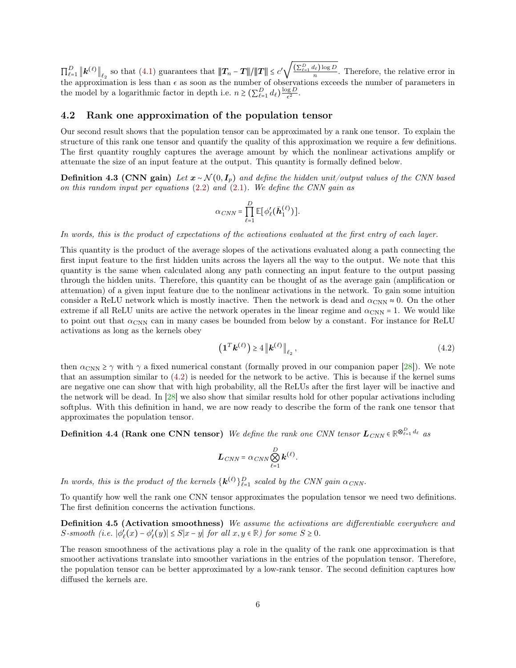$\prod_{\ell=1}^D \left\| \bm{k}^{(\ell)} \right\|_{\ell_2}$  so that [\(4.1\)](#page-4-1) guarantees that  $\|T_n - T\|/\|T\| \le c'$ √  $\frac{\left(\sum_{\ell=1}^D d_\ell\right) \log D}{n}$ . Therefore, the relative error in the approximation is less than  $\epsilon$  as soon as the number of observations exceeds the number of parameters in the model by a logarithmic factor in depth i.e.  $n \gtrsim (\sum_{\ell=1}^D d_\ell) \frac{\log D}{\epsilon^2}$  $rac{g}{\epsilon^2}$ .

### <span id="page-5-0"></span>4.2 Rank one approximation of the population tensor

Our second result shows that the population tensor can be approximated by a rank one tensor. To explain the structure of this rank one tensor and quantify the quality of this approximation we require a few definitions. The first quantity roughly captures the average amount by which the nonlinear activations amplify or attenuate the size of an input feature at the output. This quantity is formally defined below.

**Definition 4.3 (CNN gain)** Let  $x \sim \mathcal{N}(0, I_p)$  and define the hidden unit/output values of the CNN based on this random input per equations [\(2.2\)](#page-2-2) and [\(2.1\)](#page-2-1). We define the CNN gain as

$$
\alpha_{CNN} = \prod_{\ell=1}^{D} \mathbb{E}[\phi'_{\ell}(\bar{\boldsymbol{h}}_1^{(\ell)})].
$$

In words, this is the product of expectations of the activations evaluated at the first entry of each layer.

This quantity is the product of the average slopes of the activations evaluated along a path connecting the first input feature to the first hidden units across the layers all the way to the output. We note that this quantity is the same when calculated along any path connecting an input feature to the output passing through the hidden units. Therefore, this quantity can be thought of as the average gain (amplification or attenuation) of a given input feature due to the nonlinear activations in the network. To gain some intuition consider a ReLU network which is mostly inactive. Then the network is dead and  $\alpha_{\rm CNN} \approx 0$ . On the other extreme if all ReLU units are active the network operates in the linear regime and  $\alpha_{\text{CNN}} = 1$ . We would like to point out that  $\alpha_{\rm CNN}$  can in many cases be bounded from below by a constant. For instance for ReLU activations as long as the kernels obey

<span id="page-5-1"></span>
$$
\left(\mathbf{1}^T \mathbf{k}^{(\ell)}\right) \ge 4 \left\| \mathbf{k}^{(\ell)} \right\|_{\ell_2},\tag{4.2}
$$

then  $\alpha_{\rm CNN} \ge \gamma$  with  $\gamma$  a fixed numerical constant (formally proved in our companion paper [\[28\]](#page-27-11)). We note that an assumption similar to [\(4.2\)](#page-5-1) is needed for the network to be active. This is because if the kernel sums are negative one can show that with high probability, all the ReLUs after the first layer will be inactive and the network will be dead. In [\[28\]](#page-27-11) we also show that similar results hold for other popular activations including softplus. With this definition in hand, we are now ready to describe the form of the rank one tensor that approximates the population tensor.

Definition 4.4 (Rank one CNN tensor) We define the rank one CNN tensor  $L_{CNN} \in \mathbb{R}^{\otimes_{\ell=1}^D d_\ell}$  as

<span id="page-5-2"></span>
$$
\boldsymbol{L}_{CNN} = \alpha_{CNN} \bigotimes_{\ell=1}^{D} \boldsymbol{k}^{(\ell)}.
$$

In words, this is the product of the kernels  $\{k^{(\ell)}\}_{\ell=1}^D$  scaled by the CNN gain  $\alpha_{CNN}$ .

To quantify how well the rank one CNN tensor approximates the population tensor we need two definitions. The first definition concerns the activation functions.

Definition 4.5 (Activation smoothness) We assume the activations are differentiable everywhere and  $S\text{-}smooth (i.e.  $|\phi'_{\ell}(x) - \phi'_{\ell}(y)| \leq S|x-y|$  for all  $x, y \in \mathbb{R}$ ) for some  $S \geq 0$ .$ 

<span id="page-5-3"></span>The reason smoothness of the activations play a role in the quality of the rank one approximation is that smoother activations translate into smoother variations in the entries of the population tensor. Therefore, the population tensor can be better approximated by a low-rank tensor. The second definition captures how diffused the kernels are.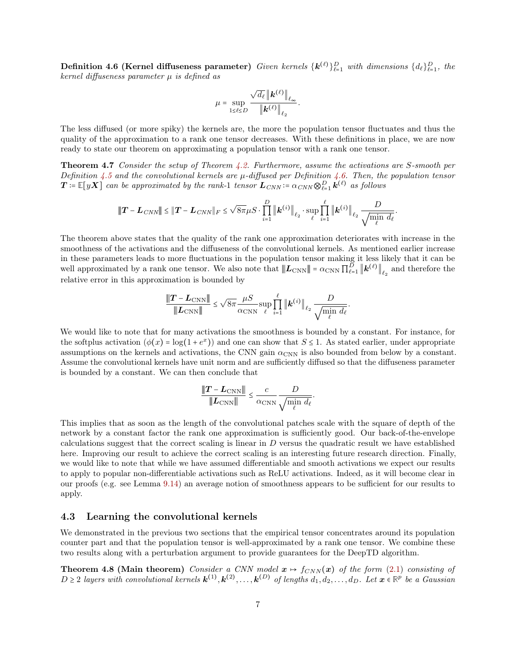**Definition 4.6 (Kernel diffuseness parameter)** Given kernels  $\{\mathbf{k}^{(\ell)}\}_{\ell=1}^D$  with dimensions  $\{d_\ell\}_{\ell=1}^D$ , the kernel diffuseness parameter  $\mu$  is defined as

$$
\mu = \sup_{1 \leq \ell \leq D} \frac{\sqrt{d_\ell} \left\| \bm{k}^{(\ell)} \right\|_{\ell_\infty}}{\left\| \bm{k}^{(\ell)} \right\|_{\ell_2}}.
$$

The less diffused (or more spiky) the kernels are, the more the population tensor fluctuates and thus the quality of the approximation to a rank one tensor decreases. With these definitions in place, we are now ready to state our theorem on approximating a population tensor with a rank one tensor.

Theorem 4.7 Consider the setup of Theorem [4.2.](#page-4-2) Furthermore, assume the activations are S-smooth per Definition [4.5](#page-5-2) and the convolutional kernels are  $\mu$ -diffused per Definition [4.6.](#page-5-3) Then, the population tensor  $\bm{T}\coloneqq\mathbb{E}[y\bm{X}]$  can be approximated by the rank-1 tensor  $\bm{L}_{CNN} \coloneqq \alpha_{CNN} \otimes_{\ell=1}^D \bm{k}^{(\ell)}$  as follows

$$
\|\bm{T} - \bm{L}_{CNN}\| \leq \|\bm{T} - \bm{L}_{CNN}\|_F \leq \sqrt{8\pi}\mu S \cdot \prod_{i=1}^D \|\bm{k}^{(i)}\|_{\ell_2} \cdot \sup_{\ell} \prod_{i=1}^{\ell} \|\bm{k}^{(i)}\|_{\ell_2} \frac{D}{\sqrt{\min_{\ell} d_{\ell}}}
$$

<span id="page-6-1"></span>.

<span id="page-6-2"></span>.

The theorem above states that the quality of the rank one approximation deteriorates with increase in the smoothness of the activations and the diffuseness of the convolutional kernels. As mentioned earlier increase in these parameters leads to more fluctuations in the population tensor making it less likely that it can be well approximated by a rank one tensor. We also note that  $|\!|\!| L_{\text{CNN}} |\!|\!| = \alpha_{\text{CNN}} \prod_{\ell=1}^D |\!|\!| k^{(\ell)} |\!|\!|_{\ell_2}$  and therefore the relative error in this approximation is bounded by

$$
\frac{\|\boldsymbol{T} - \boldsymbol{L}_{\rm CNN}\|}{\|\boldsymbol{L}_{\rm CNN}\|} \leq \sqrt{8\pi} \frac{\mu S}{\alpha_{\rm CNN}} \sup_{\ell} \prod_{i=1}^{\ell} \|\boldsymbol{k}^{(i)}\|_{\ell_2} \frac{D}{\sqrt{\min_{\ell} d_{\ell}}}
$$

We would like to note that for many activations the smoothness is bounded by a constant. For instance, for the softplus activation  $(\phi(x) = \log(1 + e^x))$  and one can show that  $S \leq 1$ . As stated earlier, under appropriate assumptions on the kernels and activations, the CNN gain  $\alpha_{\rm CNN}$  is also bounded from below by a constant. Assume the convolutional kernels have unit norm and are sufficiently diffused so that the diffuseness parameter is bounded by a constant. We can then conclude that

$$
\frac{\|\boldsymbol{T} - \boldsymbol{L}_{\text{CNN}}\|}{\|\boldsymbol{L}_{\text{CNN}}\|} \le \frac{c}{\alpha_{\text{CNN}}} \frac{D}{\sqrt{\min_{\ell} d_{\ell}}}
$$

This implies that as soon as the length of the convolutional patches scale with the square of depth of the network by a constant factor the rank one approximation is sufficiently good. Our back-of-the-envelope calculations suggest that the correct scaling is linear in  $D$  versus the quadratic result we have established here. Improving our result to achieve the correct scaling is an interesting future research direction. Finally, we would like to note that while we have assumed differentiable and smooth activations we expect our results to apply to popular non-differentiable activations such as ReLU activations. Indeed, as it will become clear in our proofs (e.g. see Lemma [9.14\)](#page-21-0) an average notion of smoothness appears to be sufficient for our results to apply.

### <span id="page-6-0"></span>4.3 Learning the convolutional kernels

We demonstrated in the previous two sections that the empirical tensor concentrates around its population counter part and that the population tensor is well-approximated by a rank one tensor. We combine these two results along with a perturbation argument to provide guarantees for the DeepTD algorithm.

**Theorem 4.8 (Main theorem)** Consider a CNN model  $x \mapsto f_{CNN}(x)$  of the form [\(2.1\)](#page-2-1) consisting of  $D \geq 2$  layers with convolutional kernels  $\mathbf{k}^{(1)}, \mathbf{k}^{(2)}, \ldots, \mathbf{k}^{(D)}$  of lengths  $d_1, d_2, \ldots, d_D$ . Let  $\mathbf{x} \in \mathbb{R}^p$  be a Gaussian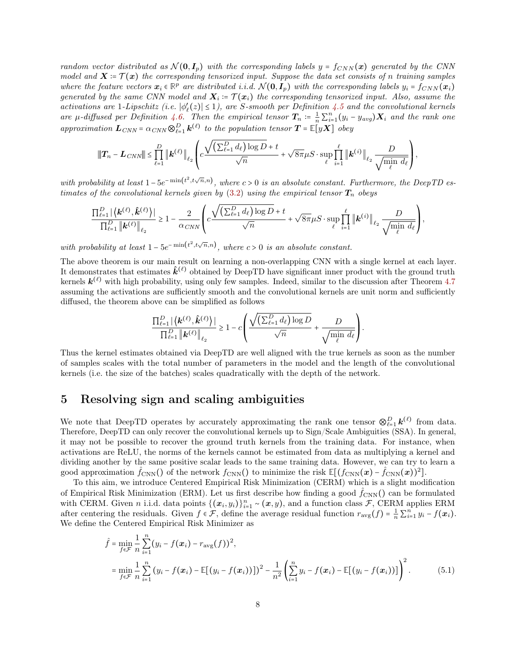random vector distributed as  $\mathcal{N}(\mathbf{0}, I_n)$  with the corresponding labels  $y = f_{CNN}(\mathbf{x})$  generated by the CNN model and  $X = \mathcal{T}(\bm{x})$  the corresponding tensorized input. Suppose the data set consists of n training samples where the feature vectors  $x_i \in \mathbb{R}^p$  are distributed i.i.d.  $\mathcal{N}(\mathbf{0}, I_p)$  with the corresponding labels  $y_i = f_{CNN}(x_i)$ generated by the same CNN model and  $\boldsymbol{X}_i \coloneqq \mathcal{T}(\boldsymbol{x}_i)$  the corresponding tensorized input. Also, assume the activations are 1-Lipschitz (i.e.  $|\phi'_{\ell}(z)| \leq 1$ ), are S-smooth per Definition [4.5](#page-5-2) and the convolutional kernels are  $\mu$ -diffused per Definition [4.6.](#page-5-3) Then the empirical tensor  $T_n := \frac{1}{n} \sum_{i=1}^n (y_i - y_{avg}) \mathbf{X}_i$  and the rank one approximation  $\mathbf{L}_{CNN} = \alpha_{CNN} \otimes_{\ell=1}^{D} \mathbf{k}^{(\ell)}$  to the population tensor  $\mathbf{T} = \mathbb{E}[y\mathbf{X}]$  obey

$$
\|\bm{T}_n - \bm{L}_{CNN}\| \leq \prod_{\ell=1}^D \left\| \bm{k}^{(\ell)} \right\|_{\ell_2} \left( c \frac{\sqrt{\left(\sum_{\ell=1}^D d_\ell\right) \log D} + t}{\sqrt{n}} + \sqrt{8\pi} \mu S \cdot \sup_{\ell} \prod_{i=1}^\ell \left\| \bm{k}^{(i)} \right\|_{\ell_2} \frac{D}{\sqrt{\min_i d_\ell}} \right),
$$

with probability at least  $1-5e^{-\min(t^2,t\sqrt{n},n)}$ , where  $c>0$  is an absolute constant. Furthermore, the DeepTD estimates of the convolutional kernels given by  $(3.2)$  using the empirical tensor  $T_n$  obeys

$$
\frac{\prod_{\ell=1}^D\left|\left\langle\boldsymbol{k}^{(\ell)},\hat{\boldsymbol{k}}^{(\ell)}\right\rangle\right|}{\prod_{\ell=1}^D\left\|\boldsymbol{k}^{(\ell)}\right\|_{\ell_2}}\geq 1-\frac{2}{\alpha_{CNN}}\left(c\frac{\sqrt{\left(\sum_{\ell=1}^D d_\ell\right)\log D}+t}{\sqrt{n}}+\sqrt{8\pi}\mu S\cdot\sup_{\ell}\prod_{i=1}^\ell\left\|\boldsymbol{k}^{(i)}\right\|_{\ell_2}\frac{D}{\sqrt{\min\limits_{\ell}}~d_\ell}\right),
$$

with probability at least  $1 - 5e^{-\min(t^2, t\sqrt{n}, n)}$ , where  $c > 0$  is an absolute constant.

The above theorem is our main result on learning a non-overlapping CNN with a single kernel at each layer. It demonstrates that estimates  $\hat{k}^{(\ell)}$  obtained by DeepTD have significant inner product with the ground truth kernels  $k^{(\ell)}$  with high probability, using only few samples. Indeed, similar to the discussion after Theorem [4.7](#page-6-1) assuming the activations are sufficiently smooth and the convolutional kernels are unit norm and sufficiently diffused, the theorem above can be simplified as follows

$$
\frac{\prod_{\ell=1}^D \left| \left\langle \pmb{k}^{(\ell)}, \pmb{\hat{k}}^{(\ell)} \right\rangle \right|}{\prod_{\ell=1}^D \left\| \pmb{k}^{(\ell)} \right\|_{\ell_2}} \geq 1 - c \left( \frac{\sqrt{\left(\sum_{\ell=1}^D d_\ell \right) \log D}}{\sqrt{n}} + \frac{D}{\sqrt{\min_{\ell} d_\ell}} \right).
$$

Thus the kernel estimates obtained via DeepTD are well aligned with the true kernels as soon as the number of samples scales with the total number of parameters in the model and the length of the convolutional kernels (i.e. the size of the batches) scales quadratically with the depth of the network.

### <span id="page-7-0"></span>5 Resolving sign and scaling ambiguities

We note that DeepTD operates by accurately approximating the rank one tensor  $\otimes_{\ell=1}^D \mathbf{k}^{(\ell)}$  from data. Therefore, DeepTD can only recover the convolutional kernels up to Sign/Scale Ambiguities (SSA). In general, it may not be possible to recover the ground truth kernels from the training data. For instance, when activations are ReLU, the norms of the kernels cannot be estimated from data as multiplying a kernel and dividing another by the same positive scalar leads to the same training data. However, we can try to learn a good approximation  $\hat{f}_{\text{CNN}}(t)$  of the network  $f_{\text{CNN}}(t)$  to minimize the risk  $\mathbb{E}[(f_{\text{CNN}}(\bm{x}) - \hat{f}_{\text{CNN}}(\bm{x}))^2]$ .

To this aim, we introduce Centered Empirical Risk Minimization (CERM) which is a slight modification of Empirical Risk Minimization (ERM). Let us first describe how finding a good  $\hat{f}_{\text{CNN}}($ ) can be formulated with CERM. Given n i.i.d. data points  $\{(\boldsymbol{x}_i, y_i)\}_{i=1}^n \sim (\boldsymbol{x}, y)$ , and a function class  $\mathcal{F}$ , CERM applies ERM after centering the residuals. Given  $f \in \mathcal{F}$ , define the average residual function  $r_{\text{avg}}(f) = \frac{1}{n} \sum_{i=1}^{n} y_i - f(x_i)$ . We define the Centered Empirical Risk Minimizer as

<span id="page-7-1"></span>
$$
\hat{f} = \min_{f \in \mathcal{F}} \frac{1}{n} \sum_{i=1}^{n} (y_i - f(\boldsymbol{x}_i) - r_{\text{avg}}(f))^2,
$$
\n
$$
= \min_{f \in \mathcal{F}} \frac{1}{n} \sum_{i=1}^{n} (y_i - f(\boldsymbol{x}_i) - \mathbb{E}[(y_i - f(\boldsymbol{x}_i))])^2 - \frac{1}{n^2} \left( \sum_{i=1}^{n} y_i - f(\boldsymbol{x}_i) - \mathbb{E}[(y_i - f(\boldsymbol{x}_i))] \right)^2.
$$
\n(5.1)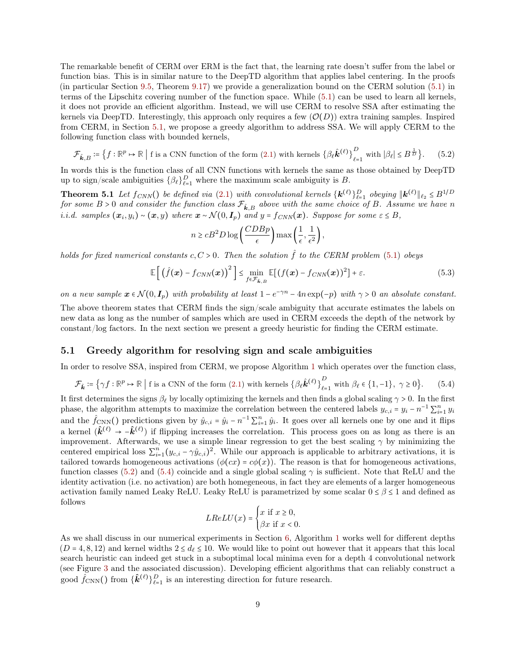The remarkable benefit of CERM over ERM is the fact that, the learning rate doesn't suffer from the label or function bias. This is in similar nature to the DeepTD algorithm that applies label centering. In the proofs (in particular Section [9.5,](#page-24-0) Theorem [9.17\)](#page-24-1) we provide a generalization bound on the CERM solution [\(5.1\)](#page-7-1) in terms of the Lipschitz covering number of the function space. While [\(5.1\)](#page-7-1) can be used to learn all kernels, it does not provide an efficient algorithm. Instead, we will use CERM to resolve SSA after estimating the kernels via DeepTD. Interestingly, this approach only requires a few  $(\mathcal{O}(D))$  extra training samples. Inspired from CERM, in Section [5.1,](#page-8-0) we propose a greedy algorithm to address SSA. We will apply CERM to the following function class with bounded kernels,

$$
\mathcal{F}_{\hat{\mathbf{k}},B} \coloneqq \left\{ f : \mathbb{R}^p \mapsto \mathbb{R} \mid \text{f is a CNN function of the form (2.1) with kernes } \left\{ \beta_\ell \hat{\mathbf{k}}^{(\ell)} \right\}_{\ell=1}^D \text{ with } |\beta_\ell| \le B^{\frac{1}{D}} \right\}. \tag{5.2}
$$

In words this is the function class of all CNN functions with kernels the same as those obtained by DeepTD up to sign/scale ambiguities  $\{\beta_{\ell}\}_{\ell=1}^D$  where the maximum scale ambiguity is B.

**Theorem 5.1** Let  $f_{CNN}()$  be defined via [\(2.1\)](#page-2-1) with convolutional kernels  $\{k^{(\ell)}\}_{\ell=1}^D$  obeying  $\|k^{(\ell)}\|_{\ell_2} \leq B^{1/D}$ **Theorem 3.1** Let  $JCNN()$  be defined but  $(2.1)$  with convolutional kernets  $\{K^{\vee}\}_{\ell=1}^{K^{\vee}}$  obeying  $\|K^{\vee}\|_{\ell_2} \leq D'$ <br>for some  $B > 0$  and consider the function class  $\mathcal{F}_{\hat{k},B}$  above with the same choice o i.i.d. samples  $(x_i, y_i) \sim (x, y)$  where  $x \sim \mathcal{N}(0, I_p)$  and  $y = f_{CNN}(x)$ . Suppose for some  $\varepsilon \leq B$ ,

<span id="page-8-4"></span><span id="page-8-1"></span>
$$
n \ge cB^2 D \log \left(\frac{CDBp}{\epsilon}\right) \max\left(\frac{1}{\epsilon}, \frac{1}{\epsilon^2}\right),\,
$$

holds for fixed numerical constants  $c, C > 0$ . Then the solution  $\hat{f}$  to the CERM problem [\(5.1\)](#page-7-1) obeys

$$
\mathbb{E}\left[\left(\hat{f}(\boldsymbol{x}) - f_{CNN}(\boldsymbol{x})\right)^2\right] \leq \min_{f \in \mathcal{F}_{\hat{\boldsymbol{k}},B}} \mathbb{E}[(f(\boldsymbol{x}) - f_{CNN}(\boldsymbol{x}))^2] + \varepsilon. \tag{5.3}
$$

on a new sample  $x \in \mathcal{N}(0, I_p)$  with probability at least  $1 - e^{-\gamma n} - 4n \exp(-p)$  with  $\gamma > 0$  an absolute constant. The above theorem states that CERM finds the sign/scale ambiguity that accurate estimates the labels on

new data as long as the number of samples which are used in CERM exceeds the depth of the network by constant/log factors. In the next section we present a greedy heuristic for finding the CERM estimate.

### <span id="page-8-0"></span>5.1 Greedy algorithm for resolving sign and scale ambiguities

In order to resolve SSA, inspired from CERM, we propose Algorithm [1](#page-9-0) which operates over the function class,

$$
\mathcal{F}_{\hat{\mathbf{k}}} \coloneqq \left\{ \gamma f : \mathbb{R}^p \mapsto \mathbb{R} \mid \text{f is a CNN of the form (2.1) with kernels } \left\{ \beta_\ell \hat{\mathbf{k}}^{(\ell)} \right\}_{\ell=1}^D \text{ with } \beta_\ell \in \{1, -1\}, \ \gamma \ge 0 \right\}. \tag{5.4}
$$

It first determines the signs  $\beta_\ell$  by locally optimizing the kernels and then finds a global scaling  $\gamma > 0$ . In the first phase, the algorithm attempts to maximize the correlation between the centered labels  $y_{c,i} = y_i - n^{-1} \sum_{i=1}^n y_i$ and the  $\hat{f}_{\text{CNN}}(t)$  predictions given by  $\hat{y}_{c,i} = \hat{y}_i - n^{-1} \sum_{i=1}^n \hat{y}_i$ . It goes over all kernels one by one and it flips a kernel  $(\hat{k}^{(\ell)} \to -\hat{k}^{(\ell)})$  if flipping increases the correlation. This process goes on as long as there is an improvement. Afterwards, we use a simple linear regression to get the best scaling  $\gamma$  by minimizing the centered empirical loss  $\sum_{i=1}^{n} (y_{c,i} - \gamma \hat{y}_{c,i})^2$ . While our approach is applicable to arbitrary activations, it is tailored towards homogeneous activations ( $\phi(cx) = c\phi(x)$ ). The reason is that for homogeneous activations, function classes [\(5.2\)](#page-8-1) and [\(5.4\)](#page-8-2) coincide and a single global scaling  $\gamma$  is sufficient. Note that ReLU and the identity activation (i.e. no activation) are both homegeneous, in fact they are elements of a larger homogeneous activation family named Leaky ReLU. Leaky ReLU is parametrized by some scalar  $0 \le \beta \le 1$  and defined as follows

<span id="page-8-2"></span>
$$
LReLU(x) = \begin{cases} x \text{ if } x \ge 0, \\ \beta x \text{ if } x < 0. \end{cases}
$$

<span id="page-8-3"></span>As we shall discuss in our numerical experiments in Section [6,](#page-8-3) Algorithm [1](#page-9-0) works well for different depths  $(D = 4, 8, 12)$  and kernel widths  $2 \le d_\ell \le 10$ . We would like to point out however that it appears that this local search heuristic can indeed get stuck in a suboptimal local minima even for a depth 4 convolutional network (see Figure [3](#page-10-0) and the associated discussion). Developing efficient algorithms that can reliably construct a good  $\hat{f}_{\text{CNN}}($ ) from  $\{\hat{k}^{(\ell)}\}_{\ell=1}^D$  is an interesting direction for future research.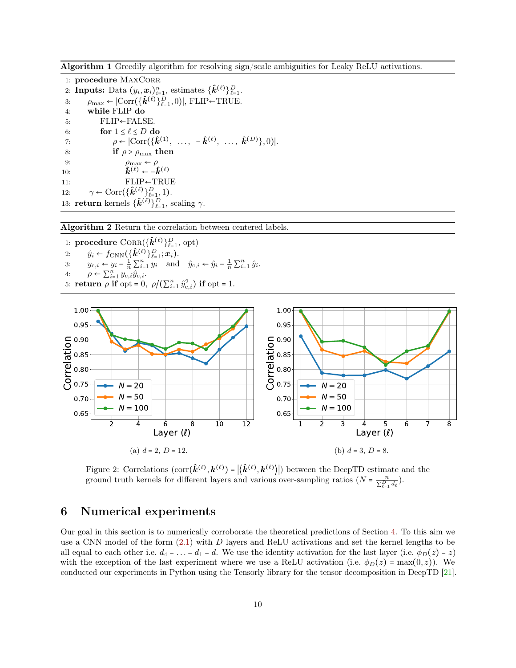<span id="page-9-0"></span>Algorithm 1 Greedily algorithm for resolving sign/scale ambiguities for Leaky ReLU activations.

```
1: procedure MAXCORR
  2: Inputs: Data (y_i, x_i)_{i=1}^n, estimates \{\hat{\mathbf{k}}^{(\ell)}\}_{\ell=1}^D.
  3: \rho_{\text{max}} \leftarrow |\text{Corr}(\{\hat{\mathbf{k}}^{(\ell)}\}_{\ell=1}^D, 0)|, FLIP←TRUE.
 4: while FLIP do
 5: FLIP ← FALSE.6: for 1 \leq \ell \leq D do
  7: \rho \leftarrow |\text{Corr}(\{\hat{k}^{(1)}, \ldots, -\hat{k}^{(\ell)}, \ldots, \hat{k}^{(D)}\},0)|.8: if \rho > \rho_{\text{max}} then
  9: \rho_{\text{max}} \leftarrow \rho10: \hat{\boldsymbol{k}}^{(\ell)} \leftarrow -\hat{\boldsymbol{k}}^{(\ell)}11: FLIP←TRUE
12: \gamma \leftarrow \text{Corr}\left(\{\hat{\boldsymbol{k}}^{(\ell)}\}_{\ell=1}^D, 1\right).13: return kernels \{\hat{\boldsymbol{k}}^{(\ell)}\}_{\ell=1}^D, scaling \gamma.
```
Algorithm 2 Return the correlation between centered labels.

1:  $\textbf{procedure } \text{CORR}(\{\hat{\bm{k}}^{(\ell)}\}_{\ell=1}^D, \text{ opt})$ 1: **procedure** CORR $(\hat{\mathbf{k}}^{(\ell)})_{\ell=1}^D$ ;<br>2:  $\hat{y}_i \leftarrow f_{\text{CNN}} \left( \{\hat{\mathbf{k}}^{(\ell)}\}_{\ell=1}^D; \mathbf{x}_i \right)$ . 3:  $y_{c,i} \leftarrow y_i - \frac{1}{n} \sum_{i=1}^n y_i$  and  $\hat{y}_{c,i} \leftarrow \hat{y}_i - \frac{1}{n} \sum_{i=1}^n \hat{y}_i$ . 4:  $\rho \leftarrow \sum_{i=1}^n y_{c,i} \hat{y}_{c,i}.$ 5: **return**  $\rho$  **if** opt = 0,  $\rho/(\sum_{i=1}^n \hat{y}_{c,i}^2)$  **if** opt = 1.

<span id="page-9-1"></span>

Figure 2: Correlations  $(\text{corr}(\hat{\boldsymbol{k}}^{(\ell)}, \boldsymbol{k}^{(\ell)}) = |\langle \hat{\boldsymbol{k}}^{(\ell)}, \boldsymbol{k}^{(\ell)} \rangle|)$  between the DeepTD estimate and the ground truth kernels for different layers and various over-sampling ratios  $(N = \frac{n}{\sum_{\ell=1}^D d_\ell})$ .

# 6 Numerical experiments

Our goal in this section is to numerically corroborate the theoretical predictions of Section [4.](#page-4-3) To this aim we use a CNN model of the form [\(2.1\)](#page-2-1) with D layers and ReLU activations and set the kernel lengths to be all equal to each other i.e.  $d_4 = \ldots = d_1 = d$ . We use the identity activation for the last layer (i.e.  $\phi_D(z) = z$ ) with the exception of the last experiment where we use a ReLU activation (i.e.  $\phi_D(z) = \max(0, z)$ ). We conducted our experiments in Python using the Tensorly library for the tensor decomposition in DeepTD [\[21\]](#page-27-12).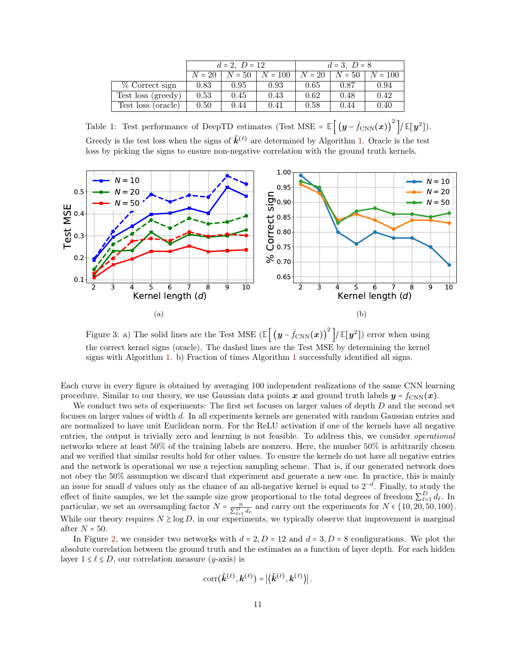<span id="page-10-1"></span>

|                    | $d = 2, D = 12$ |          |           | $d = 3, D = 8$ |          |           |
|--------------------|-----------------|----------|-----------|----------------|----------|-----------|
|                    | $N = 20$        | $N = 50$ | $N = 100$ | $N = 20$       | $N = 50$ | $N = 100$ |
| % Correct sign     | 0.83            | 0.95     | 0.93      | 0.65           | 0.87     | 0.94      |
| Test loss (greedy) | 0.53            | 0.45     | 0.43      | 0.62           | 0.48     | 0.42      |
| Test loss (oracle) | 0.50            | 0.44     | 0.41      | 0.58           | 0.44     | 0.40      |

Table 1: Test performance of DeepTD estimates (Test MSE =  $\mathbb{E}[(y - \hat{f}_{CNN}(x))^{2}]/\mathbb{E}[y^{2}]).$ Greedy is the test loss when the signs of  $\hat{k}^{(\ell)}$  are determined by Algorithm [1.](#page-9-0) Oracle is the test loss by picking the signs to ensure non-negative correlation with the ground truth kernels.

<span id="page-10-0"></span>

Figure 3: a) The solid lines are the Test MSE  $(\mathbb{E}\left[\left(y-\hat{f}_{\mathrm{CNN}}(x)\right)^2\right] / \mathbb{E}[y^2])$  error when using the correct kernel signs (oracle). The dashed lines are the Test MSE by determining the kernel signs with Algorithm [1.](#page-9-0) b) Fraction of times Algorithm [1](#page-9-0) successfully identified all signs.

Each curve in every figure is obtained by averaging 100 independent realizations of the same CNN learning procedure. Similar to our theory, we use Gaussian data points x and ground truth labels  $y = f_{\text{CNN}}(x)$ .

We conduct two sets of experiments: The first set focuses on larger values of depth  $D$  and the second set focuses on larger values of width d. In all experiments kernels are generated with random Gaussian entries and are normalized to have unit Euclidean norm. For the ReLU activation if one of the kernels have all negative entries, the output is trivially zero and learning is not feasible. To address this, we consider operational networks where at least 50% of the training labels are nonzero. Here, the number 50% is arbitrarily chosen and we verified that similar results hold for other values. To ensure the kernels do not have all negative entries and the network is operational we use a rejection sampling scheme. That is, if our generated network does not obey the 50% assumption we discard that experiment and generate a new one. In practice, this is mainly an issue for small d values only as the chance of an all-negative kernel is equal to  $2^{-d}$ . Finally, to study the effect of finite samples, we let the sample size grow proportional to the total degrees of freedom  $\sum_{\ell=1}^{D} d_{\ell}$ . In particular, we set an oversampling factor  $N = \frac{n}{\sum_{\ell=1}^D d_\ell}$  and carry out the experiments for  $N \in \{10, 20, 50, 100\}$ . While our theory requires  $N \geq \log D$ , in our experiments, we typically observe that improvement is marginal after  $N = 50$ .

In Figure [2,](#page-9-1) we consider two networks with  $d = 2$ ,  $D = 12$  and  $d = 3$ ,  $D = 8$  configurations. We plot the absolute correlation between the ground truth and the estimates as a function of layer depth. For each hidden layer  $1 \leq \ell \leq D$ , our correlation measure (*y*-axis) is

$$
\text{corr}(\hat{\boldsymbol{k}}^{(\ell)},\boldsymbol{k}^{(\ell)}) = \left|\left\langle \hat{\boldsymbol{k}}^{(\ell)},\boldsymbol{k}^{(\ell)}\right\rangle\right|.
$$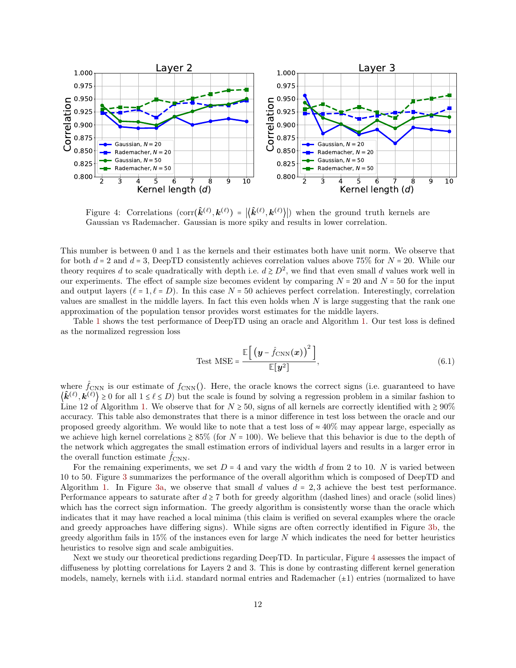<span id="page-11-0"></span>

Figure 4: Correlations  $(\text{corr}(\hat{k}^{(\ell)}, k^{(\ell)}) = |\langle \hat{k}^{(\ell)}, k^{(\ell)} \rangle|)$  when the ground truth kernels are Gaussian vs Rademacher. Gaussian is more spiky and results in lower correlation.

This number is between 0 and 1 as the kernels and their estimates both have unit norm. We observe that for both  $d = 2$  and  $d = 3$ , DeepTD consistently achieves correlation values above 75% for  $N = 20$ . While our theory requires d to scale quadratically with depth i.e.  $d \ge D^2$ , we find that even small d values work well in our experiments. The effect of sample size becomes evident by comparing  $N = 20$  and  $N = 50$  for the input and output layers ( $\ell = 1, \ell = D$ ). In this case N = 50 achieves perfect correlation. Interestingly, correlation values are smallest in the middle layers. In fact this even holds when  $N$  is large suggesting that the rank one approximation of the population tensor provides worst estimates for the middle layers.

Table [1](#page-10-1) shows the test performance of DeepTD using an oracle and Algorithm [1.](#page-9-0) Our test loss is defined as the normalized regression loss

Test MSE = 
$$
\frac{\mathbb{E}\left[\left(\boldsymbol{y} - \hat{f}_{\text{CNN}}(\boldsymbol{x})\right)^2\right]}{\mathbb{E}[\boldsymbol{y}^2]},
$$
 (6.1)

where  $\hat{f}_{\text{CNN}}$  is our estimate of  $f_{\text{CNN}}($ ). Here, the oracle knows the correct signs (i.e. guaranteed to have  $\langle \hat{\mathbf{k}}^{(\ell)}, \mathbf{k}^{(\ell)} \rangle \ge 0$  for all  $1 \le \ell \le D$ ) but the scale is found by solving a regression problem in a similar fashion to Line 12 of Algorithm [1.](#page-9-0) We observe that for  $N \ge 50$ , signs of all kernels are correctly identified with  $\ge 90\%$ accuracy. This table also demonstrates that there is a minor difference in test loss between the oracle and our proposed greedy algorithm. We would like to note that a test loss of  $\approx 40\%$  may appear large, especially as we achieve high kernel correlations  $\geq 85\%$  (for  $N = 100$ ). We believe that this behavior is due to the depth of the network which aggregates the small estimation errors of individual layers and results in a larger error in the overall function estimate  $f_{\text{CNN}}$ .

For the remaining experiments, we set  $D = 4$  and vary the width d from 2 to 10. N is varied between 10 to 50. Figure [3](#page-10-0) summarizes the performance of the overall algorithm which is composed of DeepTD and Algorithm [1.](#page-9-0) In Figure [3a,](#page-10-0) we observe that small d values  $d = 2, 3$  achieve the best test performance. Performance appears to saturate after  $d \geq 7$  both for greedy algorithm (dashed lines) and oracle (solid lines) which has the correct sign information. The greedy algorithm is consistently worse than the oracle which indicates that it may have reached a local minima (this claim is verified on several examples where the oracle and greedy approaches have differing signs). While signs are often correctly identified in Figure [3b,](#page-10-0) the greedy algorithm fails in 15% of the instances even for large  $N$  which indicates the need for better heuristics heuristics to resolve sign and scale ambiguities.

Next we study our theoretical predictions regarding DeepTD. In particular, Figure [4](#page-11-0) assesses the impact of diffuseness by plotting correlations for Layers 2 and 3. This is done by contrasting different kernel generation models, namely, kernels with i.i.d. standard normal entries and Rademacher  $(\pm 1)$  entries (normalized to have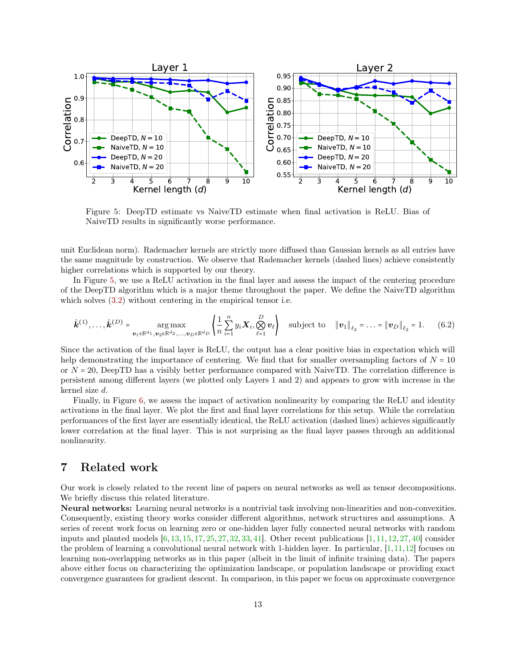<span id="page-12-0"></span>

Figure 5: DeepTD estimate vs NaiveTD estimate when final activation is ReLU. Bias of NaiveTD results in significantly worse performance.

unit Euclidean norm). Rademacher kernels are strictly more diffused than Gaussian kernels as all entries have the same magnitude by construction. We observe that Rademacher kernels (dashed lines) achieve consistently higher correlations which is supported by our theory.

In Figure [5,](#page-12-0) we use a ReLU activation in the final layer and assess the impact of the centering procedure of the DeepTD algorithm which is a major theme throughout the paper. We define the NaiveTD algorithm which solves  $(3.2)$  without centering in the empirical tensor i.e.

$$
\hat{\bm{k}}^{(1)}, \ldots, \hat{\bm{k}}^{(D)} = \underset{\bm{v}_1 \in \mathbb{R}^{d_1}, \bm{v}_2 \in \mathbb{R}^{d_2}, \ldots, \bm{v}_D \in \mathbb{R}^{d_D}}{\arg \max} \left\{ \frac{1}{n} \sum_{i=1}^n y_i \bm{X}_i, \bigotimes_{\ell=1}^D \bm{v}_\ell \right\} \quad \text{subject to} \quad \|\bm{v}_1\|_{\ell_2} = \ldots = \|\bm{v}_D\|_{\ell_2} = 1. \tag{6.2}
$$

Since the activation of the final layer is ReLU, the output has a clear positive bias in expectation which will help demonstrating the importance of centering. We find that for smaller oversampling factors of  $N = 10$ or  $N = 20$ , DeepTD has a visibly better performance compared with NaiveTD. The correlation difference is persistent among different layers (we plotted only Layers 1 and 2) and appears to grow with increase in the kernel size d.

Finally, in Figure [6,](#page-13-0) we assess the impact of activation nonlinearity by comparing the ReLU and identity activations in the final layer. We plot the first and final layer correlations for this setup. While the correlation performances of the first layer are essentially identical, the ReLU activation (dashed lines) achieves significantly lower correlation at the final layer. This is not surprising as the final layer passes through an additional nonlinearity.

## 7 Related work

Our work is closely related to the recent line of papers on neural networks as well as tensor decompositions. We briefly discuss this related literature.

Neural networks: Learning neural networks is a nontrivial task involving non-linearities and non-convexities. Consequently, existing theory works consider different algorithms, network structures and assumptions. A series of recent work focus on learning zero or one-hidden layer fully connected neural networks with random inputs and planted models  $[6, 13, 15, 17, 25, 27, 32, 33, 41]$  $[6, 13, 15, 17, 25, 27, 32, 33, 41]$  $[6, 13, 15, 17, 25, 27, 32, 33, 41]$  $[6, 13, 15, 17, 25, 27, 32, 33, 41]$  $[6, 13, 15, 17, 25, 27, 32, 33, 41]$  $[6, 13, 15, 17, 25, 27, 32, 33, 41]$  $[6, 13, 15, 17, 25, 27, 32, 33, 41]$  $[6, 13, 15, 17, 25, 27, 32, 33, 41]$  $[6, 13, 15, 17, 25, 27, 32, 33, 41]$  $[6, 13, 15, 17, 25, 27, 32, 33, 41]$  $[6, 13, 15, 17, 25, 27, 32, 33, 41]$  $[6, 13, 15, 17, 25, 27, 32, 33, 41]$  $[6, 13, 15, 17, 25, 27, 32, 33, 41]$  $[6, 13, 15, 17, 25, 27, 32, 33, 41]$  $[6, 13, 15, 17, 25, 27, 32, 33, 41]$  $[6, 13, 15, 17, 25, 27, 32, 33, 41]$  $[6, 13, 15, 17, 25, 27, 32, 33, 41]$ . Other recent publications  $[1, 11, 12, 27, 40]$  $[1, 11, 12, 27, 40]$  $[1, 11, 12, 27, 40]$  $[1, 11, 12, 27, 40]$  $[1, 11, 12, 27, 40]$  $[1, 11, 12, 27, 40]$  $[1, 11, 12, 27, 40]$  consider the problem of learning a convolutional neural network with 1-hidden layer. In particular, [\[1,](#page-26-1)[11,](#page-26-9)[12\]](#page-26-10) focuses on learning non-overlapping networks as in this paper (albeit in the limit of infinite training data). The papers above either focus on characterizing the optimization landscape, or population landscape or providing exact convergence guarantees for gradient descent. In comparison, in this paper we focus on approximate convergence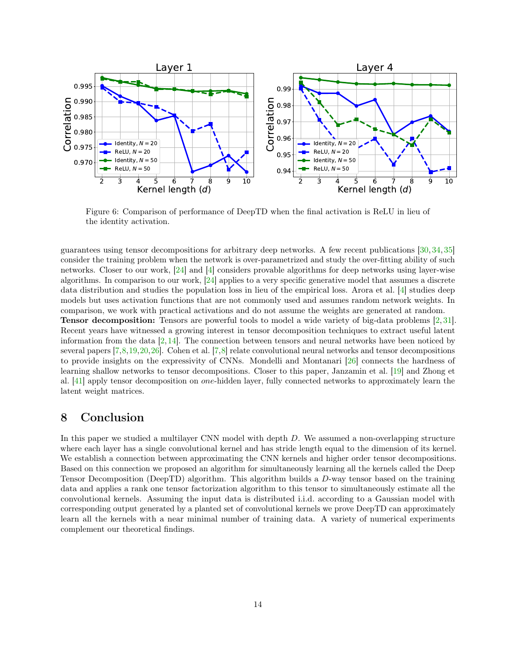<span id="page-13-0"></span>

Figure 6: Comparison of performance of DeepTD when the final activation is ReLU in lieu of the identity activation.

guarantees using tensor decompositions for arbitrary deep networks. A few recent publications [\[30,](#page-27-16) [34,](#page-27-9) [35\]](#page-27-17) consider the training problem when the network is over-parametrized and study the over-fitting ability of such networks. Closer to our work, [\[24\]](#page-27-18) and [\[4\]](#page-26-11) considers provable algorithms for deep networks using layer-wise algorithms. In comparison to our work, [\[24\]](#page-27-18) applies to a very specific generative model that assumes a discrete data distribution and studies the population loss in lieu of the empirical loss. Arora et al. [\[4\]](#page-26-11) studies deep models but uses activation functions that are not commonly used and assumes random network weights. In comparison, we work with practical activations and do not assume the weights are generated at random. Tensor decomposition: Tensors are powerful tools to model a wide variety of big-data problems [\[2,](#page-26-4) [31\]](#page-27-19). Recent years have witnessed a growing interest in tensor decomposition techniques to extract useful latent information from the data  $[2, 14]$  $[2, 14]$  $[2, 14]$ . The connection between tensors and neural networks have been noticed by several papers [\[7,](#page-26-2)[8,](#page-26-12)[19,](#page-27-4)[20,](#page-27-20)[26\]](#page-27-21). Cohen et al. [\[7,](#page-26-2)[8\]](#page-26-12) relate convolutional neural networks and tensor decompositions to provide insights on the expressivity of CNNs. Mondelli and Montanari [\[26\]](#page-27-21) connects the hardness of learning shallow networks to tensor decompositions. Closer to this paper, Janzamin et al. [\[19\]](#page-27-4) and Zhong et al. [\[41\]](#page-28-1) apply tensor decomposition on one-hidden layer, fully connected networks to approximately learn the

# 8 Conclusion

latent weight matrices.

In this paper we studied a multilayer CNN model with depth D. We assumed a non-overlapping structure where each layer has a single convolutional kernel and has stride length equal to the dimension of its kernel. We establish a connection between approximating the CNN kernels and higher order tensor decompositions. Based on this connection we proposed an algorithm for simultaneously learning all the kernels called the Deep Tensor Decomposition (DeepTD) algorithm. This algorithm builds a D-way tensor based on the training data and applies a rank one tensor factorization algorithm to this tensor to simultaneously estimate all the convolutional kernels. Assuming the input data is distributed i.i.d. according to a Gaussian model with corresponding output generated by a planted set of convolutional kernels we prove DeepTD can approximately learn all the kernels with a near minimal number of training data. A variety of numerical experiments complement our theoretical findings.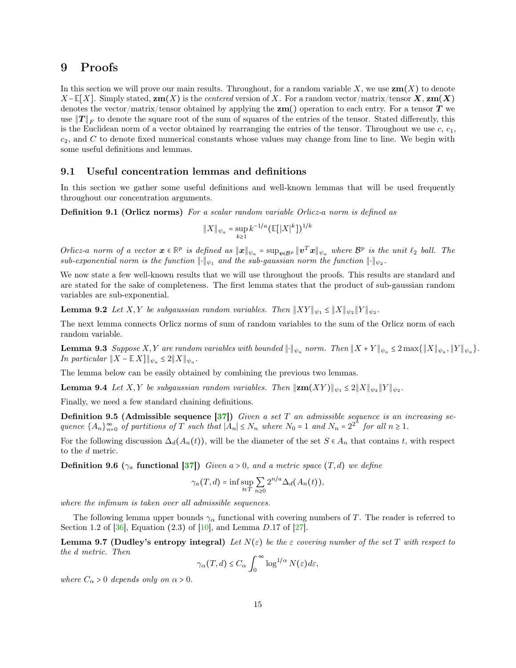### 9 Proofs

In this section we will prove our main results. Throughout, for a random variable X, we use  $\mathbf{zm}(X)$  to denote  $X$  – **E**[X]. Simply stated,  $\mathbf{zm}(X)$  is the *centered* version of X. For a random vector/matrix/tensor **X**,  $\mathbf{zm}(X)$ denotes the vector/matrix/tensor obtained by applying the  $\mathbf{zm}$ ) operation to each entry. For a tensor T we use  $||T||_F$  to denote the square root of the sum of squares of the entries of the tensor. Stated differently, this is the Euclidean norm of a vector obtained by rearranging the entries of the tensor. Throughout we use  $c, c_1$ ,  $c_2$ , and C to denote fixed numerical constants whose values may change from line to line. We begin with some useful definitions and lemmas.

### 9.1 Useful concentration lemmas and definitions

In this section we gather some useful definitions and well-known lemmas that will be used frequently throughout our concentration arguments.

Definition 9.1 (Orlicz norms) For a scalar random variable Orlicz-a norm is defined as

<span id="page-14-0"></span>
$$
||X||_{\psi_a} = \sup_{k \ge 1} k^{-1/a} (\mathbb{E}[|X|^k])^{1/k}
$$

Orlicz-a norm of a vector  $x \in \mathbb{R}^p$  is defined as  $||x||_{\psi_a} = \sup_{v \in B^p} ||v^T x||_{\psi_a}$  where  $B^p$  is the unit  $\ell_2$  ball. The sub-exponential norm is the function  $\|\cdot\|_{\psi_1}$  and the sub-gaussian norm the function  $\|\cdot\|_{\psi_2}$ .

We now state a few well-known results that we will use throughout the proofs. This results are standard and are stated for the sake of completeness. The first lemma states that the product of sub-gaussian random variables are sub-exponential.

**Lemma 9.2** Let X,Y be subgaussian random variables. Then  $||XY||_{\psi_1} \le ||X||_{\psi_2}||Y||_{\psi_2}$ .

The next lemma connects Orlicz norms of sum of random variables to the sum of the Orlicz norm of each random variable.

**Lemma 9.3** Suppose X,Y are random variables with bounded  $\|\cdot\|_{\psi_a}$  norm. Then  $\|X + Y\|_{\psi_a} \leq 2 \max\{\|X\|_{\psi_a}, \|Y\|_{\psi_a}\}.$ *In particular*  $||X - \mathbb{E}[X]||_{\psi_a} \leq 2||X||_{\psi_a}$ .

The lemma below can be easily obtained by combining the previous two lemmas.

**Lemma 9.4** Let X,Y be subgaussian random variables. Then  $\Vert \mathbf{z}\mathbf{m}(XY)\Vert_{\psi_1} \leq 2\Vert X \Vert_{\psi_2} \Vert Y \Vert_{\psi_2}$ .

Finally, we need a few standard chaining definitions.

**Definition 9.5 (Admissible sequence [\[37\]](#page-27-22))** Given a set T an admissible sequence is an increasing sequence  ${A_n}_{n=0}^{\infty}$  of partitions of T such that  $|A_n| \le N_n$  where  $N_0 = 1$  and  $N_n = 2^{2^n}$  for all  $n \ge 1$ .

<span id="page-14-2"></span>For the following discussion  $\Delta_d(A_n(t))$ , will be the diameter of the set  $S \in A_n$  that contains t, with respect to the d metric.

**Definition 9.6** ( $\gamma_a$  functional [\[37\]](#page-27-22)) Given a > 0, and a metric space (T, d) we define

<span id="page-14-1"></span>
$$
\gamma_a(T, d) = \inf \sup_{t \in T} \sum_{n \ge 0} 2^{n/a} \Delta_d(A_n(t)),
$$

where the infimum is taken over all admissible sequences.

The following lemma upper bounds  $\gamma_\alpha$  functional with covering numbers of T. The reader is referred to Section 1.2 of  $[36]$ , Equation (2.3) of  $[10]$ , and Lemma D.17 of  $[27]$ .

Lemma 9.7 (Dudley's entropy integral) Let  $N(\varepsilon)$  be the  $\varepsilon$  covering number of the set T with respect to the d metric. Then

<span id="page-14-3"></span>
$$
\gamma_{\alpha}(T, d) \leq C_{\alpha} \int_0^{\infty} \log^{1/\alpha} N(\varepsilon) d\varepsilon,
$$

where  $C_{\alpha} > 0$  depends only on  $\alpha > 0$ .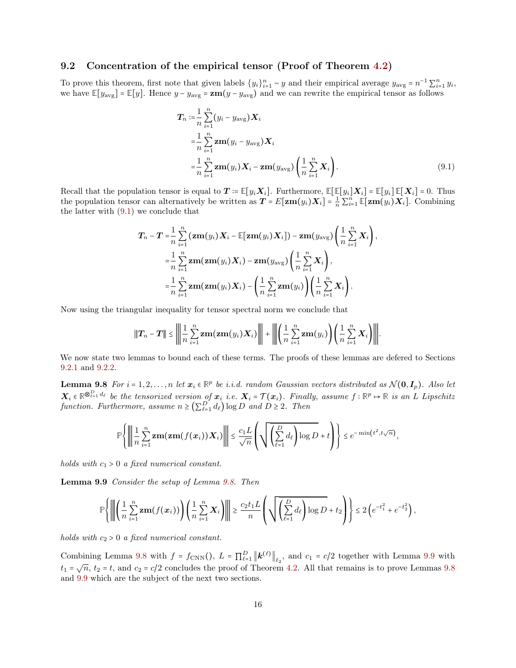#### 9.2 Concentration of the empirical tensor (Proof of Theorem [4.2\)](#page-4-2)

To prove this theorem, first note that given labels  $\{y_i\}_{i=1}^n \sim y$  and their empirical average  $y_{\text{avg}} = n^{-1} \sum_{i=1}^n y_i$ , we have  $\mathbb{E}[y_{\text{avg}}] = \mathbb{E}[y]$ . Hence  $y - y_{\text{avg}} = \mathbf{z}\mathbf{m}(y - y_{\text{avg}})$  and we can rewrite the empirical tensor as follows

<span id="page-15-0"></span>
$$
\mathbf{T}_n := \frac{1}{n} \sum_{i=1}^n (y_i - y_{\text{avg}}) \mathbf{X}_i \n= \frac{1}{n} \sum_{i=1}^n \mathbf{z} \mathbf{m} (y_i - y_{\text{avg}}) \mathbf{X}_i \n= \frac{1}{n} \sum_{i=1}^n \mathbf{z} \mathbf{m} (y_i) \mathbf{X}_i - \mathbf{z} \mathbf{m} (y_{\text{avg}}) \left( \frac{1}{n} \sum_{i=1}^n \mathbf{X}_i \right).
$$
\n(9.1)

Recall that the population tensor is equal to  $T = \mathbb{E}[y_i \mathbf{X}_i]$ . Furthermore,  $\mathbb{E}[\mathbb{E}[y_i] \mathbf{X}_i] = \mathbb{E}[y_i] \mathbb{E}[\mathbf{X}_i] = 0$ . Thus the population tensor can alternatively be written as  $T = E[\mathbf{z}\mathbf{m}(y_i) \mathbf{X}_i] = \frac{1}{n} \sum_{i=1}^n \mathbb{E}[\mathbf{z}\mathbf{m}(y_i) \mathbf{X}_i]$ . Combining the latter with  $(9.1)$  we conclude that

$$
T_n - T = \frac{1}{n} \sum_{i=1}^n (\mathbf{z} m(y_i) \mathbf{X}_i - \mathbb{E}[\mathbf{z} m(y_i) \mathbf{X}_i]) - \mathbf{z} m(y_{\text{avg}}) \left(\frac{1}{n} \sum_{i=1}^n \mathbf{X}_i\right),
$$
  
\n
$$
= \frac{1}{n} \sum_{i=1}^n \mathbf{z} m(\mathbf{z} m(y_i) \mathbf{X}_i) - \mathbf{z} m(y_{\text{avg}}) \left(\frac{1}{n} \sum_{i=1}^n \mathbf{X}_i\right),
$$
  
\n
$$
= \frac{1}{n} \sum_{i=1}^n \mathbf{z} m(\mathbf{z} m(y_i) \mathbf{X}_i) - \left(\frac{1}{n} \sum_{i=1}^n \mathbf{z} m(y_i)\right) \left(\frac{1}{n} \sum_{i=1}^n \mathbf{X}_i\right).
$$

Now using the triangular inequality for tensor spectral norm we conclude that

<span id="page-15-2"></span>
$$
\|\bm{T}_n - \bm{T}\| \le \left\| \frac{1}{n} \sum_{i=1}^n \mathbf{z} \mathbf{m}(\mathbf{z} \mathbf{m}(y_i) \bm{X}_i) \right\| + \left\| \left( \frac{1}{n} \sum_{i=1}^n \mathbf{z} \mathbf{m}(y_i) \right) \left( \frac{1}{n} \sum_{i=1}^n \bm{X}_i \right) \right\|.
$$

We now state two lemmas to bound each of these terms. The proofs of these lemmas are defered to Sections [9.2.1](#page-15-1) and [9.2.2.](#page-17-0)

**Lemma 9.8** For  $i = 1, 2, ..., n$  let  $x_i \in \mathbb{R}^p$  be i.i.d. random Gaussian vectors distributed as  $\mathcal{N}(\mathbf{0}, \mathbf{I}_p)$ . Also let  $\boldsymbol{X}_i \in \mathbb{R}^{\otimes_{\ell=1}^D d_{\ell}}$  be the tensorized version of  $\boldsymbol{x}_i$  i.e.  $\boldsymbol{X}_i = \mathcal{T}(\boldsymbol{x}_i)$ . Finally, assume  $f : \mathbb{R}^p \mapsto \mathbb{R}$  is an L Lipschitz function. Furthermore, assume  $n \geq (\sum_{\ell=1}^D d_\ell) \log D$  and  $D \geq 2$ . Then

$$
\mathbb{P}\left\{\left\|\left|\frac{1}{n}\sum_{i=1}^n \mathbf{z}\mathbf{m}(\mathbf{z}\mathbf{m}(f(\mathbf{x}_i))\mathbf{X}_i)\right|\right\| \leq \frac{c_1 L}{\sqrt{n}}\left(\sqrt{\left(\sum_{\ell=1}^D d_\ell\right)\log D} + t\right)\right\} \leq e^{-\min\left(t^2, t\sqrt{n}\right)},
$$

holds with  $c_1 > 0$  a fixed numerical constant.

<span id="page-15-3"></span>Lemma 9.9 Consider the setup of Lemma [9.8.](#page-15-2) Then

$$
\mathbb{P}\Bigg\|\Bigg\|\Bigg(\frac{1}{n}\sum_{i=1}^n\mathbf{z}\mathbf{m}(f(\mathbf{x}_i))\Bigg)\Bigg(\frac{1}{n}\sum_{i=1}^n\mathbf{X}_i\Bigg)\Bigg\|\geq \frac{c_2t_1L}{n}\Bigg(\sqrt{\Bigg(\sum_{\ell=1}^D d_\ell\Bigg)\log D}+t_2\Bigg)\Bigg\}\leq 2\Big(e^{-t_1^2}+e^{-t_2^2}\Bigg),
$$

holds with  $c_2 > 0$  a fixed numerical constant.

<span id="page-15-1"></span>Combining Lemma [9.8](#page-15-2) with  $f = f_{\text{CNN}}(t)$ ,  $L = \prod_{\ell=1}^{D} ||\mathbf{k}^{(\ell)}||_{\ell_2}$ , and  $c_1 = c/2$  together with Lemma [9.9](#page-15-3) with  $t_1 = \sqrt{n}, t_2 = t$ , and  $c_2 = c/2$  concludes the proof of Theorem [4.2.](#page-4-2) All that remains is to prove Lemmas [9.8](#page-15-2) and [9.9](#page-15-3) which are the subject of the next two sections.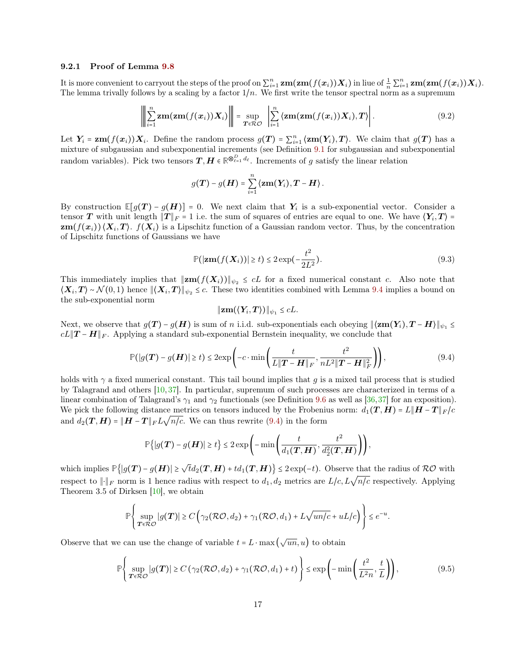#### 9.2.1 Proof of Lemma [9.8](#page-15-2)

It is more convenient to carryout the steps of the proof on  $\sum_{i=1}^n \mathbf{z}\mathbf{m}(\mathbf{z}\mathbf{m}(f(\mathbf{x}_i))\mathbf{X}_i)$  in liue of  $\frac{1}{n}\sum_{i=1}^n \mathbf{z}\mathbf{m}(\mathbf{z}\mathbf{m}(f(\mathbf{x}_i))\mathbf{X}_i)$ . The lemma trivally follows by a scaling by a factor  $1/n$ . We first write the tensor spectral norm as a supremum

$$
\left\| \sum_{i=1}^{n} \mathbf{z} \mathbf{m}(\mathbf{z} \mathbf{m}(f(\mathbf{x}_i)) \mathbf{X}_i) \right\| = \sup_{\mathbf{T} \in \mathcal{R} \mathcal{O}} \left| \sum_{i=1}^{n} \langle \mathbf{z} \mathbf{m}(\mathbf{z} \mathbf{m}(f(\mathbf{x}_i)) \mathbf{X}_i), \mathbf{T} \rangle \right|.
$$
 (9.2)

Let  $Y_i = \mathbf{z}\mathbf{m}(f(\mathbf{x}_i))X_i$ . Define the random process  $g(T) = \sum_{i=1}^n \langle \mathbf{z}\mathbf{m}(Y_i), T \rangle$ . We claim that  $g(T)$  has a mixture of subgaussian and subexponential increments (see Definition [9.1](#page-14-0) for subgaussian and subexponential random variables). Pick two tensors  $T, H \in \mathbb{R}^{\otimes_{\ell=1}^D d_\ell}$ . Increments of g satisfy the linear relation

<span id="page-16-2"></span>
$$
g(\boldsymbol{T}) - g(\boldsymbol{H}) = \sum_{i=1}^n \langle \boldsymbol{z}\mathbf{m}(\boldsymbol{Y}_i), \boldsymbol{T} - \boldsymbol{H} \rangle.
$$

By construction  $\mathbb{E}[g(T) - g(H)] = 0$ . We next claim that  $Y_i$  is a sub-exponential vector. Consider a tensor T with unit length  $||T||_F = 1$  i.e. the sum of squares of entries are equal to one. We have  $\langle Y_i, T \rangle =$  $\text{zm}(f(x_i))\langle X_i, T\rangle$ .  $f(X_i)$  is a Lipschitz function of a Gaussian random vector. Thus, by the concentration of Lipschitz functions of Gaussians we have

$$
\mathbb{P}(|\mathbf{z}\mathbf{m}(f(\mathbf{X}_i))| \ge t) \le 2\exp(-\frac{t^2}{2L^2}).\tag{9.3}
$$

This immediately implies that  $||\mathbf{z}\mathbf{m}(f(\mathbf{X}_i))||_{\psi_2} \leq cL$  for a fixed numerical constant c. Also note that  $\langle X_i, T \rangle \sim \mathcal{N}(0, 1)$  hence  $\| \langle X_i, T \rangle \|_{\psi_2} \leq c$ . These two identities combined with Lemma [9.4](#page-14-1) implies a bound on the sub-exponential norm

<span id="page-16-3"></span><span id="page-16-0"></span>
$$
\|\mathbf{z}\mathbf{m}(\langle Y_i,\boldsymbol{T}\rangle)\|_{\psi_1}\leq cL.
$$

Next, we observe that  $g(T) - g(H)$  is sum of n i.i.d. sub-exponentials each obeying  $\|\langle \mathbf{z}m(Y_i), T - H \rangle\|_{\psi_1} \leq$  $cL||T - H||_F$ . Applying a standard sub-exponential Bernstein inequality, we conclude that

$$
\mathbb{P}(|g(\boldsymbol{T}) - g(\boldsymbol{H})| \ge t) \le 2 \exp\left(-c \cdot \min\left(\frac{t}{L \|\boldsymbol{T} - \boldsymbol{H}\|_F}, \frac{t^2}{nL^2 \|\boldsymbol{T} - \boldsymbol{H}\|_F^2}\right)\right),\tag{9.4}
$$

holds with  $\gamma$  a fixed numerical constant. This tail bound implies that g is a mixed tail process that is studied by Talagrand and others [\[10,](#page-26-13) [37\]](#page-27-22). In particular, supremum of such processes are characterized in terms of a linear combination of Talagrand's  $\gamma_1$  and  $\gamma_2$  functionals (see Definition [9.6](#page-14-2) as well as [\[36,](#page-27-23)[37\]](#page-27-22) for an exposition). We pick the following distance metrics on tensors induced by the Frobenius norm:  $d_1(T, H) = L||H - T||_F/c$ we pick the following distance metrics on tensors induced by the Frobenic and  $d_2(T, H) = ||H - T||_F L \sqrt{n/c}$ . We can thus rewrite [\(9.4\)](#page-16-0) in the form

$$
\mathbb{P}\big\{|g(\boldsymbol{T})-g(\boldsymbol{H})|\ge t\big\}\le 2\exp\left(-\min\left(\frac{t}{d_1(\boldsymbol{T},\boldsymbol{H})},\frac{t^2}{d_2^2(\boldsymbol{T},\boldsymbol{H})}\right)\right),
$$

which implies  $\mathbb{P}\{|g(T) - g(H)| \ge \sqrt{t}d_2(T, H) + td_1(T, H)\}\le 2\exp(-t)$ . Observe that the radius of RO with respect to  $\|\cdot\|_F$  norm is 1 hence radius with respect to  $d_1, d_2$  metrics are  $L/c$ ,  $L\sqrt{n/c}$  respectively. Applying Theorem 3.5 of Dirksen [\[10\]](#page-26-13), we obtain

<span id="page-16-1"></span>
$$
\mathbb{P}\left\{\sup_{\mathbf{T}\in\mathcal{RO}}|g(\mathbf{T})|\geq C\left(\gamma_2(\mathcal{RO},d_2)+\gamma_1(\mathcal{RO},d_1)+L\sqrt{un/c}+uL/c\right)\right\}\leq e^{-u}.
$$

Observe that we can use the change of variable  $t = L \cdot \max(\sqrt{un}, u)$  to obtain

$$
\mathbb{P}\left\{\sup_{\mathbf{T}\in\mathcal{RO}}|g(\mathbf{T})|\geq C\left(\gamma_2(\mathcal{RO},d_2)+\gamma_1(\mathcal{RO},d_1)+t\right)\right\}\leq \exp\left(-\min\left(\frac{t^2}{L^2n},\frac{t}{L}\right)\right),\tag{9.5}
$$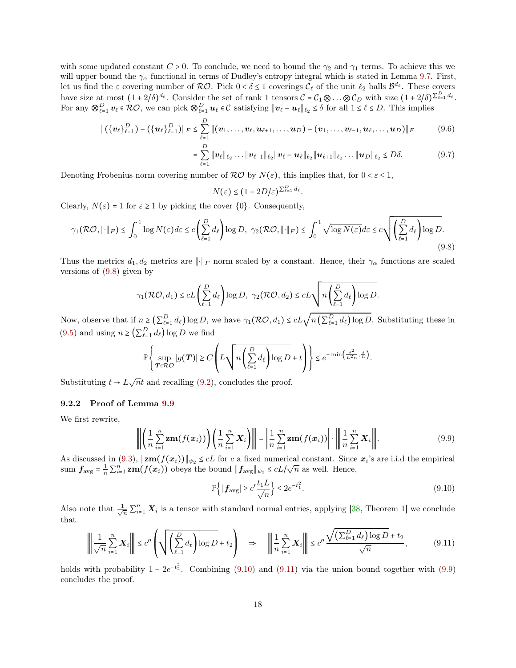with some updated constant  $C > 0$ . To conclude, we need to bound the  $\gamma_2$  and  $\gamma_1$  terms. To achieve this we will upper bound the  $\gamma_{\alpha}$  functional in terms of Dudley's entropy integral which is stated in Lemma [9.7.](#page-14-3) First, let us find the  $\varepsilon$  covering number of  $\mathcal{RO}$ . Pick  $0 < \delta \leq 1$  coverings  $\mathcal{C}_{\ell}$  of the unit  $\ell_2$  balls  $\mathcal{B}^{d_{\ell}}$ . These covers have size at most  $(1+2/\delta)^{d_{\ell}}$ . Consider the set of rank 1 tensors  $\mathcal{C} = \mathcal{C}_1 \otimes \ldots \otimes \mathcal{C}_D$  with size  $(1+2/\delta)^{\sum_{\ell=1}^D d_{\ell}}$ . For any  $\bigotimes_{\ell=1}^D v_\ell \in \mathcal{RO}$ , we can pick  $\bigotimes_{\ell=1}^D u_\ell \in \mathcal{C}$  satisfying  $\|v_\ell - u_\ell\|_{\ell_2} \leq \delta$  for all  $1 \leq \ell \leq D$ . This implies

$$
\|(\{\bm{v}_{\ell}\}_{\ell=1}^D) - (\{\bm{u}_{\ell}\}_{\ell=1}^D)\|_F \leq \sum_{\ell=1}^D \|(\bm{v}_1,\ldots,\bm{v}_{\ell},\bm{u}_{\ell+1},\ldots,\bm{u}_D) - (\bm{v}_1,\ldots,\bm{v}_{\ell-1},\bm{u}_{\ell},\ldots,\bm{u}_D)\|_F \qquad (9.6)
$$

$$
= \sum_{\ell=1}^D \|\mathbf{v}_{\ell}\|_{\ell_2} \dots \|\mathbf{v}_{\ell-1}\|_{\ell_2} \|\mathbf{v}_{\ell} - \mathbf{u}_{\ell}\|_{\ell_2} \|\mathbf{u}_{\ell+1}\|_{\ell_2} \dots \|\mathbf{u}_D\|_{\ell_2} \leq D\delta. \tag{9.7}
$$

Denoting Frobenius norm covering number of  $R\mathcal{O}$  by  $N(\varepsilon)$ , this implies that, for  $0 < \varepsilon \leq 1$ ,

<span id="page-17-1"></span> $N(\varepsilon) \leq (1+2D/\varepsilon)^{\sum_{\ell=1}^D d_\ell}.$ 

Clearly,  $N(\varepsilon) = 1$  for  $\varepsilon \ge 1$  by picking the cover  $\{0\}$ . Consequently,

$$
\gamma_1(\mathcal{RO}, \|\cdot\|_F) \le \int_0^1 \log N(\varepsilon) d\varepsilon \le c \left(\sum_{\ell=1}^D d_\ell\right) \log D, \ \ \gamma_2(\mathcal{RO}, \|\cdot\|_F) \le \int_0^1 \sqrt{\log N(\varepsilon)} d\varepsilon \le c \sqrt{\left(\sum_{\ell=1}^D d_\ell\right) \log D}.\tag{9.8}
$$

Thus the metrics  $d_1, d_2$  metrics are  $\|\cdot\|_F$  norm scaled by a constant. Hence, their  $\gamma_\alpha$  functions are scaled versions of [\(9.8\)](#page-17-1) given by

$$
\gamma_1(\mathcal{RO}, d_1) \leq cL\left(\sum_{\ell=1}^D d_\ell\right) \log D, \ \gamma_2(\mathcal{RO}, d_2) \leq cL\sqrt{n\left(\sum_{\ell=1}^D d_\ell\right) \log D}.
$$

Now, observe that if  $n \geq (\sum_{\ell=1}^D d_\ell) \log D$ , we have  $\gamma_1(\mathcal{RO}, d_1) \leq cL \sqrt{n(\sum_{\ell=1}^D d_\ell) \log D}$ . Substituting these in [\(9.5\)](#page-16-1) and using  $n \geq (\sum_{\ell=1}^D d_\ell) \log D$  we find

$$
\mathbb{P}\left\{\sup_{\mathbf{T}\in\mathcal{RO}}|g(\mathbf{T})|\geq C\left(L\sqrt{n\left(\sum_{\ell=1}^D d_\ell\right)\log D}+t\right)\right\}\leq e^{-\min\left(\frac{t^2}{L^2n},\frac{t}{L}\right)}.
$$

Substituting  $t \to L\sqrt{n}t$  and recalling [\(9.2\)](#page-16-2), concludes the proof.

#### <span id="page-17-0"></span>9.2.2 Proof of Lemma [9.9](#page-15-3)

We first rewrite,

$$
\left\| \left( \frac{1}{n} \sum_{i=1}^{n} \mathbf{z} \mathbf{m}(f(\mathbf{x}_i)) \right) \left( \frac{1}{n} \sum_{i=1}^{n} \mathbf{X}_i \right) \right\| = \left| \frac{1}{n} \sum_{i=1}^{n} \mathbf{z} \mathbf{m}(f(\mathbf{x}_i)) \right| \cdot \left\| \frac{1}{n} \sum_{i=1}^{n} \mathbf{X}_i \right\|.
$$
 (9.9)

As discussed in  $(9.3)$ ,  $\|\mathbf{z}\mathbf{m}(f(\mathbf{x}_i))\|_{\psi_2} \leq cL$  for c a fixed numerical constant. Since  $\mathbf{x}_i$ 's are i.i.d the empirical sum  $f_{\text{avg}} = \frac{1}{n} \sum_{i=1}^{n} \mathbf{z} \mathbf{m}(f(\mathbf{x}_i))$  obeys the bound  $||f_{\text{avg}}||_{\psi_2} \le cL/\sqrt{n}$  as well. Hence,

<span id="page-17-4"></span><span id="page-17-3"></span><span id="page-17-2"></span>
$$
\mathbb{P}\left\{|\mathbf{f}_{\text{avg}}| \ge c'\frac{t_1 L}{\sqrt{n}}\right\} \le 2e^{-t_1^2}.\tag{9.10}
$$

Also note that  $\frac{1}{\sqrt{n}} \sum_{i=1}^n \boldsymbol{X}_i$  is a tensor with standard normal entries, applying [\[38,](#page-27-24) Theorem 1] we conclude that

$$
\left\| \frac{1}{\sqrt{n}} \sum_{i=1}^{n} \mathbf{X}_{i} \right\| \le c'' \left( \sqrt{\left( \sum_{\ell=1}^{D} d_{\ell} \right) \log D} + t_{2} \right) \quad \Rightarrow \quad \left\| \frac{1}{n} \sum_{i=1}^{n} \mathbf{X}_{i} \right\| \le c'' \frac{\sqrt{\left( \sum_{\ell=1}^{D} d_{\ell} \right) \log D} + t_{2}}{\sqrt{n}},\tag{9.11}
$$

holds with probability  $1 - 2e^{-t_2^2}$ . Combining [\(9.10\)](#page-17-2) and [\(9.11\)](#page-17-3) via the union bound together with [\(9.9\)](#page-17-4) concludes the proof.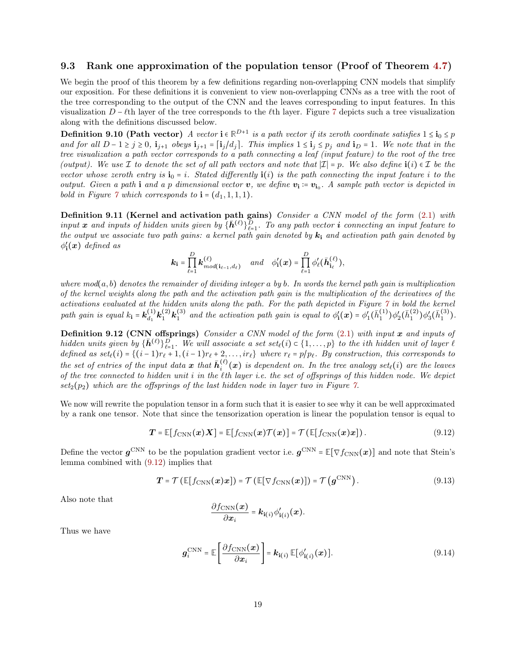### 9.3 Rank one approximation of the population tensor (Proof of Theorem [4.7\)](#page-6-1)

We begin the proof of this theorem by a few definitions regarding non-overlapping CNN models that simplify our exposition. For these definitions it is convenient to view non-overlapping CNNs as a tree with the root of the tree corresponding to the output of the CNN and the leaves corresponding to input features. In this visualization  $D - \ell$ th layer of the tree corresponds to the  $\ell$ th layer. Figure [7](#page-19-0) depicts such a tree visualization along with the definitions discussed below.

**Definition 9.10 (Path vector)** A vector  $\mathbf{i} \in \mathbb{R}^{D+1}$  is a path vector if its zeroth coordinate satisfies  $1 \leq \mathbf{i}_0 \leq p$ and for all  $D-1\geq j\geq 0$ ,  $\mathbf{i}_{j+1}$  obeys  $\mathbf{i}_{j+1}=[\mathbf{i}_j/d_j]$ . This implies  $1\leq \mathbf{i}_j\leq p_j$  and  $\mathbf{i}_D=1$ . We note that in the tree visualization a path vector corresponds to a path connecting a leaf (input feature) to the root of the tree (output). We use  $\mathcal I$  to denote the set of all path vectors and note that  $|\mathcal I| = p$ . We also define  $\mathbf i(i) \in \mathcal I$  be the vector whose zeroth entry is  $\mathbf{i}_0 = i$ . Stated differently  $\mathbf{i}(i)$  is the path connecting the input feature i to the output. Given a path i and a p dimensional vector  $v$ , we define  $v_i = v_{i_0}$ . A sample path vector is depicted in bold in Figure [7](#page-19-0) which corresponds to  $\mathbf{i} = (d_1, 1, 1, 1)$ .

**Definition 9.11 (Kernel and activation path gains)** Consider a CNN model of the form  $(2.1)$  with input x and inputs of hidden units given by  $\{\bar{h}^{(\ell)}\}_{\ell=1}^D$ . To any path vector i connecting an input feature to the output we associate two path gains: a kernel path gain denoted by  $k_i$  and activation path gain denoted by  $\phi_{\mathbf{i}}'(\boldsymbol{x})$  defined as

<span id="page-18-1"></span>
$$
\mathbf{k_i} = \prod_{\ell=1}^D \mathbf{k}_{mod(\mathbf{i}_{\ell-1},d_\ell)}^{(\ell)} \quad \text{and} \quad \phi'_\mathbf{i}(\mathbf{x}) = \prod_{\ell=1}^D \phi'_\ell(\bar{\mathbf{h}}_{\mathbf{i}_\ell}^{(\ell)}),
$$

where  $mod(a, b)$  denotes the remainder of dividing integer a by b. In words the kernel path gain is multiplication of the kernel weights along the path and the activation path gain is the multiplication of the derivatives of the activations evaluated at the hidden units along the path. For the path depicted in Figure [7](#page-19-0) in bold the kernel path gain is equal  $k_1 = \mathbf{k}_{d_1}^{(1)} \mathbf{k}_1^{(2)} \mathbf{k}_1^{(3)}$  and the activation path gain is equal to  $\phi'_1(\mathbf{x}) = \phi'_1(\bar{h}_1^{(1)}) \phi'_2(\bar{h}_1^{(2)}) \phi'_3(\bar{h}_1^{(3)})$ .

Definition 9.12 (CNN offsprings) Consider a CNN model of the form  $(2.1)$  with input x and inputs of hidden units given by  $\{\bar{h}^{(\ell)}\}_{\ell=1}^D$ . We will associate a set set<sub> $\ell(i) \in \{1, \ldots, p\}$ </sub> to the ith hidden unit of layer  $\ell$ defined as  $set(i) = \{(i-1)r_{\ell} + 1, (i-1)r_{\ell} + 2, \ldots, ir_{\ell}\}$  where  $r_{\ell} = p/p_{\ell}$ . By construction, this corresponds to the set of entries of the input data  $x$  that  $\bar{h}_i^{(\ell)}(x)$  is dependent on. In the tree analogy set<sub> $\ell$ </sub>(i) are the leaves of the tree connected to hidden unit  $i$  in the  $\ell$ th layer i.e. the set of offsprings of this hidden node. We depict  $set<sub>2</sub>(p<sub>2</sub>)$  which are the offsprings of the last hidden node in layer two in Figure [7.](#page-19-0)

We now will rewrite the population tensor in a form such that it is easier to see why it can be well approximated by a rank one tensor. Note that since the tensorization operation is linear the population tensor is equal to

$$
\boldsymbol{T} = \mathbb{E}[f_{\text{CNN}}(\boldsymbol{x})\boldsymbol{X}] = \mathbb{E}[f_{\text{CNN}}(\boldsymbol{x})\mathcal{T}(\boldsymbol{x})] = \mathcal{T}(\mathbb{E}[f_{\text{CNN}}(\boldsymbol{x})\boldsymbol{x}]). \qquad (9.12)
$$

Define the vector  $g^{\text{CNN}}$  to be the population gradient vector i.e.  $g^{\text{CNN}}$  =  $\mathbb{E}[\nabla f_{\text{CNN}}(x)]$  and note that Stein's lemma combined with [\(9.12\)](#page-18-0) implies that

$$
\boldsymbol{T} = \mathcal{T}\left(\mathbb{E}[f_{\text{CNN}}(\boldsymbol{x})\boldsymbol{x}]\right) = \mathcal{T}\left(\mathbb{E}[\nabla f_{\text{CNN}}(\boldsymbol{x})]\right) = \mathcal{T}\left(\boldsymbol{g}^{\text{CNN}}\right). \tag{9.13}
$$

Also note that

<span id="page-18-3"></span><span id="page-18-2"></span><span id="page-18-0"></span>
$$
\frac{\partial f_{\text{CNN}}(\boldsymbol{x})}{\partial \boldsymbol{x}_i} = \boldsymbol{k}_{\mathbf{i}(i)} \phi'_{\mathbf{i}(i)}(\boldsymbol{x}).
$$

Thus we have

$$
\boldsymbol{g}_i^{\text{CNN}} = \mathbb{E}\left[\frac{\partial f_{\text{CNN}}(\boldsymbol{x})}{\partial \boldsymbol{x}_i}\right] = \boldsymbol{k}_{i(i)} \, \mathbb{E}[\phi'_{i(i)}(\boldsymbol{x})]. \tag{9.14}
$$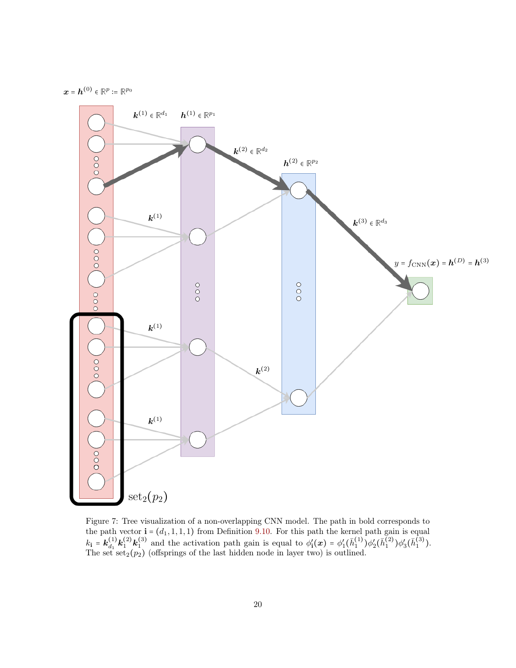

<span id="page-19-0"></span> $\boldsymbol{x} = \boldsymbol{h}^{(0)} \in \mathbb{R}^p \coloneqq \mathbb{R}^{p_0}$ 

Figure 7: Tree visualization of a non-overlapping CNN model. The path in bold corresponds to the path vector  $\mathbf{i} = (d_1, 1, 1, 1)$  from Definition [9.10.](#page-18-1) For this path the kernel path gain is equal  $k_1 = k_{d_1}^{(1)} k_1^{(2)} k_1^{(3)}$  and the activation path gain is equal to  $\phi'_1(x) = \phi'_1(\bar{h}_1^{(1)}) \phi'_2(\bar{h}_1^{(2)}) \phi'_3(\bar{h}_1^{(3)})$ . The set  $set<sub>2</sub>(p<sub>2</sub>)$  (offsprings of the last hidden node in layer two) is outlined.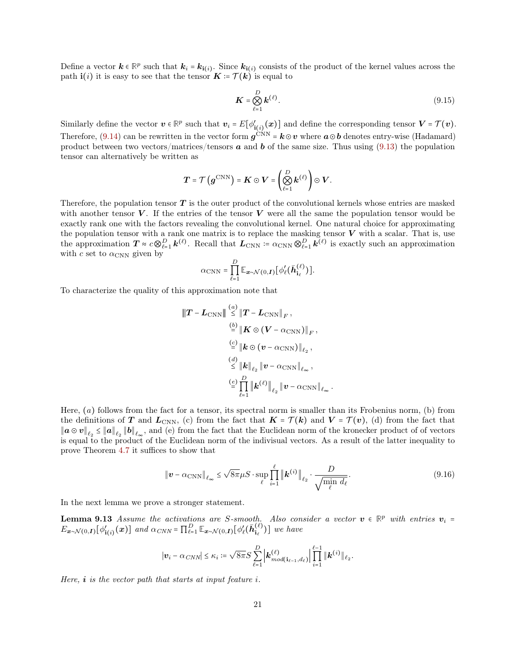Define a vector  $k \in \mathbb{R}^p$  such that  $k_i = k_{i(i)}$ . Since  $k_{i(i)}$  consists of the product of the kernel values across the path  $\mathbf{i}(i)$  it is easy to see that the tensor  $\mathbf{K} = \mathcal{T}(\mathbf{k})$  is equal to

$$
\boldsymbol{K} = \bigotimes_{\ell=1}^{D} \boldsymbol{k}^{(\ell)}.
$$
\n(9.15)

Similarly define the vector  $v \in \mathbb{R}^p$  such that  $v_i = E[\phi'_{i(i)}(x)]$  and define the corresponding tensor  $V = \mathcal{T}(v)$ . Therefore, [\(9.14\)](#page-18-2) can be rewritten in the vector form  $g^{\text{CNN}}$  =  $k \odot v$  where  $a \odot b$  denotes entry-wise (Hadamard) product between two vectors/matrices/tensors  $\boldsymbol{a}$  and  $\boldsymbol{b}$  of the same size. Thus using [\(9.13\)](#page-18-3) the population tensor can alternatively be written as

$$
T = \mathcal{T}\left(g^{\mathrm{CNN}}\right) = \mathbf{K} \odot \mathbf{V} = \left(\bigotimes_{\ell=1}^D \mathbf{k}^{(\ell)}\right) \odot \mathbf{V}.
$$

Therefore, the population tensor  $T$  is the outer product of the convolutional kernels whose entries are masked with another tensor  $V$ . If the entries of the tensor  $V$  were all the same the population tensor would be exactly rank one with the factors revealing the convolutional kernel. One natural choice for approximating the population tensor with a rank one matrix is to replace the masking tensor  $V$  with a scalar. That is, use the approximation  $T \propto c \bigotimes_{\ell=1}^D \mathbf{k}^{(\ell)}$ . Recall that  $\mathbf{L}_{\text{CNN}} \coloneqq \alpha_{\text{CNN}} \bigotimes_{\ell=1}^D \mathbf{k}^{(\ell)}$  is exactly such an approximation with c set to  $\alpha_{\text{CNN}}$  given by

$$
\alpha_{\rm CNN} = \prod_{\ell=1}^D \mathbb{E}_{\mathbf{x} \sim \mathcal{N}(0,\mathbf{I})} \big[ \phi'_\ell(\bar{\mathbf{h}}_{\mathbf{i}_\ell}^{(\ell)}) \big].
$$

To characterize the quality of this approximation note that

$$
\|\boldsymbol{T} - \boldsymbol{L}_{\rm CNN}\| \stackrel{(a)}{\leq} \|\boldsymbol{T} - \boldsymbol{L}_{\rm CNN}\|_F,
$$
  
\n
$$
\stackrel{(b)}{=} \|\boldsymbol{K} \odot (\boldsymbol{V} - \alpha_{\rm CNN})\|_F,
$$
  
\n
$$
\stackrel{(c)}{=} \|\boldsymbol{k} \odot (\boldsymbol{v} - \alpha_{\rm CNN})\|_{\ell_2},
$$
  
\n
$$
\stackrel{(d)}{\leq} \|\boldsymbol{k}\|_{\ell_2} \|\boldsymbol{v} - \alpha_{\rm CNN}\|_{\ell_\infty},
$$
  
\n
$$
\stackrel{(e)}{=} \prod_{\ell=1}^D \|\boldsymbol{k}^{(\ell)}\|_{\ell_2} \|\boldsymbol{v} - \alpha_{\rm CNN}\|_{\ell_\infty}
$$

Here,  $(a)$  follows from the fact for a tensor, its spectral norm is smaller than its Frobenius norm,  $(b)$  from the definitions of T and  $L_{\text{CNN}}$ , (c) from the fact that  $K = \mathcal{T}(k)$  and  $V = \mathcal{T}(v)$ , (d) from the fact that  $||a \odot v||_{\ell_2} \le ||a||_{\ell_2} ||b||_{\ell_{\infty}}$ , and (e) from the fact that the Euclidean norm of the kronecker product of of vectors is equal to the product of the Euclidean norm of the indivisual vectors. As a result of the latter inequality to prove Theorem [4.7](#page-6-1) it suffices to show that

<span id="page-20-1"></span>
$$
\|\boldsymbol{v} - \alpha_{\rm CNN}\|_{\ell_{\infty}} \le \sqrt{8\pi} \mu S \cdot \sup_{\ell} \prod_{i=1}^{\ell} \|\boldsymbol{k}^{(i)}\|_{\ell_2} \cdot \frac{D}{\sqrt{\min_{\ell} d_{\ell}}}.
$$
\n(9.16)

.

<span id="page-20-0"></span>.

In the next lemma we prove a stronger statement.

**Lemma 9.13** Assume the activations are S-smooth. Also consider a vector  $v \in \mathbb{R}^p$  with entries  $v_i =$  $E_{\boldsymbol{x} \sim \mathcal{N}(0,\boldsymbol{I})}[\phi'_{\mathbf{i}(i)}(\boldsymbol{x})]$  and  $\alpha_{CNN} = \prod_{\ell=1}^{D} \mathbb{E}_{\boldsymbol{x} \sim \mathcal{N}(0,\boldsymbol{I})}[\phi'_{\ell}(\bar{\boldsymbol{h}}_{\mathbf{i}_{\ell}}^{(\ell)})]$  we have

$$
\left|\boldsymbol{v}_{i}-\alpha_{CNN}\right| \leq \kappa_{i} \coloneqq \sqrt{8\pi}S\sum_{\ell=1}^{D}\left|\boldsymbol{k}_{mod(\mathbf{i}_{\ell-1},d_{\ell})}^{(\ell)}\right|\prod_{i=1}^{\ell-1}\left|\boldsymbol{k}^{(i)}\right|\right|_{\ell_{2}}
$$

Here,  $\boldsymbol{i}$  is the vector path that starts at input feature  $i$ .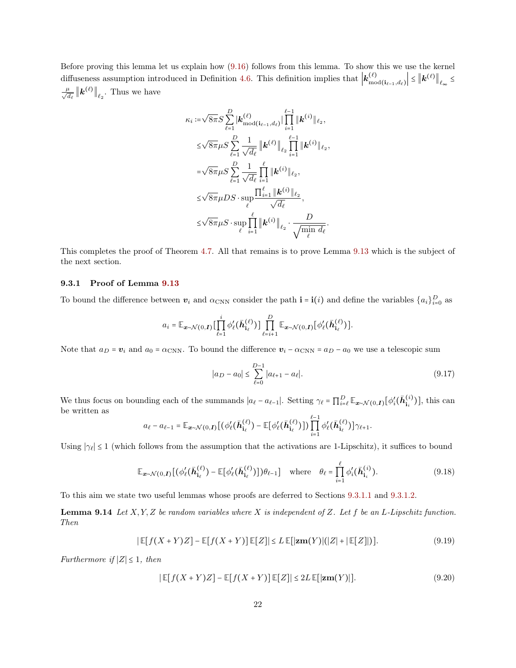Before proving this lemma let us explain how [\(9.16\)](#page-20-0) follows from this lemma. To show this we use the kernel diffuseness assumption introduced in Definition [4.6.](#page-5-3) This definition implies that  $\vert k_{\text{mo}}^{(\ell)} \vert$  $\left|\frac{(\ell)}{\mod(i_{\ell-1},d_{\ell})}\right| \leq \left\|\boldsymbol{k}^{(\ell)}\right\|_{\ell_{\infty}} \leq$  $\frac{\mu}{\sqrt{d_{\ell}}}$   $\left\|\boldsymbol{k}^{(\ell)}\right\|_{\ell_2}$ . Thus we have

$$
\kappa_{i} := \sqrt{8\pi} S \sum_{\ell=1}^{D} |\mathbf{k}_{\text{mod}(i_{\ell-1},d_{\ell})}^{(\ell)}| \prod_{i=1}^{\ell-1} ||\mathbf{k}^{(i)}||_{\ell_{2}},
$$
\n
$$
\leq \sqrt{8\pi} \mu S \sum_{\ell=1}^{D} \frac{1}{\sqrt{d_{\ell}}} ||\mathbf{k}^{(\ell)}||_{\ell_{2}} \prod_{i=1}^{\ell-1} ||\mathbf{k}^{(i)}||_{\ell_{2}},
$$
\n
$$
= \sqrt{8\pi} \mu S \sum_{\ell=1}^{D} \frac{1}{\sqrt{d_{\ell}}} \prod_{i=1}^{\ell} ||\mathbf{k}^{(i)}||_{\ell_{2}},
$$
\n
$$
\leq \sqrt{8\pi} \mu DS \cdot \sup_{\ell} \frac{\prod_{i=1}^{\ell} ||\mathbf{k}^{(i)}||_{\ell_{2}}}{\sqrt{d_{\ell}}},
$$
\n
$$
\leq \sqrt{8\pi} \mu S \cdot \sup_{\ell} \prod_{i=1}^{\ell} ||\mathbf{k}^{(i)}||_{\ell_{2}} \cdot \frac{D}{\sqrt{\min_{\ell} d_{\ell}}}.
$$

This completes the proof of Theorem [4.7.](#page-6-1) All that remains is to prove Lemma [9.13](#page-20-1) which is the subject of the next section.

#### 9.3.1 Proof of Lemma [9.13](#page-20-1)

To bound the difference between  $v_i$  and  $\alpha_{\text{CNN}}$  consider the path  $\mathbf{i} = \mathbf{i}(i)$  and define the variables  $\{a_i\}_{i=0}^D$  as

$$
a_i = \mathbb{E}_{\boldsymbol{x}\sim\mathcal{N}(0,\boldsymbol{I})} \big[ \prod_{\ell=1}^i \phi_\ell'(\bar{\boldsymbol{h}}_{\mathbf{i}_\ell}^{(\ell)}) \big] \prod_{\ell=i+1}^D \mathbb{E}_{\boldsymbol{x}\sim\mathcal{N}(0,\boldsymbol{I})} \big[ \phi_\ell'(\bar{\boldsymbol{h}}_{\mathbf{i}_\ell}^{(\ell)}) \big].
$$

Note that  $a_D = v_i$  and  $a_0 = \alpha_{\text{CNN}}$ . To bound the difference  $v_i - \alpha_{\text{CNN}} = a_D - a_0$  we use a telescopic sum

<span id="page-21-4"></span><span id="page-21-3"></span><span id="page-21-1"></span><span id="page-21-0"></span>
$$
|a_D - a_0| \le \sum_{\ell=0}^{D-1} |a_{\ell+1} - a_\ell|.
$$
 (9.17)

We thus focus on bounding each of the summands  $|a_{\ell} - a_{\ell-1}|$ . Setting  $\gamma_{\ell} = \prod_{i=\ell}^{D} \mathbb{E}_{\mathbf{x} \sim \mathcal{N}(0,\mathbf{I})} [\phi'_{i}(\bar{\mathbf{h}}_{i_i}^{(i)})]$ , this can be written as

$$
a_{\ell} - a_{\ell-1} = \mathbb{E}_{\bm{x} \sim \mathcal{N}(0,\bm{I})} \big[ \big( \phi'_{\ell}(\bar{\bm{h}}_{i_{\ell}}^{(\ell)}) - \mathbb{E} \big[ \phi'_{\ell}(\bar{\bm{h}}_{i_{\ell}}^{(\ell)}) \big] \big) \prod_{i=1}^{\ell-1} \phi'_{\ell}(\bar{\bm{h}}_{i_{\ell}}^{(\ell)}) \big] \gamma_{\ell+1}.
$$

Using  $|\gamma_\ell| \leq 1$  (which follows from the assumption that the activations are 1-Lipschitz), it suffices to bound

$$
\mathbb{E}_{\mathbf{x}\sim\mathcal{N}(0,\mathbf{I})}[(\phi_{\ell}'(\bar{\mathbf{h}}_{i_{\ell}}^{(\ell)}) - \mathbb{E}[\phi_{\ell}'(\bar{\mathbf{h}}_{i_{\ell}}^{(\ell)})])\theta_{\ell-1}] \quad \text{where} \quad \theta_{\ell} = \prod_{i=1}^{\ell} \phi_{i}'(\bar{\mathbf{h}}_{i_{i}}^{(i)}).
$$
\n(9.18)

To this aim we state two useful lemmas whose proofs are deferred to Sections [9.3.1.1](#page-22-0) and [9.3.1.2.](#page-23-0)

**Lemma 9.14** Let  $X, Y, Z$  be random variables where X is independent of Z. Let f be an L-Lipschitz function. Then

$$
|\mathbb{E}[f(X+Y)Z] - \mathbb{E}[f(X+Y)]\mathbb{E}[Z]| \le L \mathbb{E}[\left|\mathbf{z}\mathbf{m}(Y)\right|(|Z| + \left|\mathbb{E}[Z]\right|)].\tag{9.19}
$$

<span id="page-21-2"></span>Furthermore if  $|Z| \leq 1$ , then

$$
|\mathbb{E}[f(X+Y)Z] - \mathbb{E}[f(X+Y)]\mathbb{E}[Z]| \le 2L\mathbb{E}[|\mathbf{z}\mathbf{m}(Y)|].
$$
\n(9.20)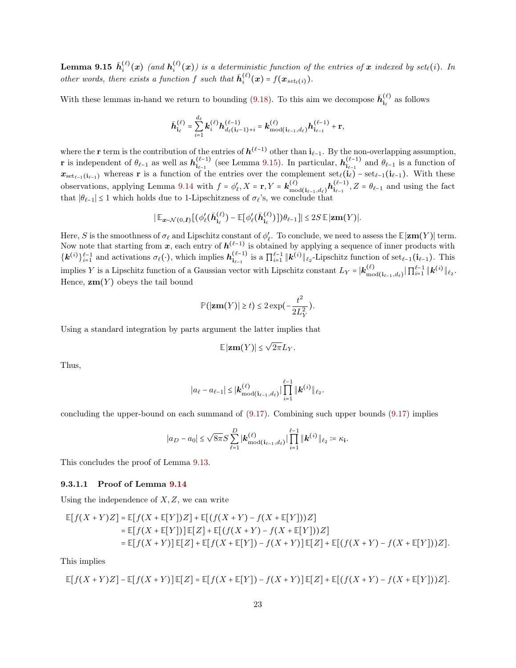**Lemma 9.15**  $\bar{h}_i^{(\ell)}(x)$  (and  $h_i^{(\ell)}(x)$ ) is a deterministic function of the entries of x indexed by set<sub>e</sub>(i). In other words, there exists a function f such that  $\bar{h}_i^{(\ell)}(x) = f(x_{set_{\ell}(i)})$ .

With these lemmas in-hand we return to bounding [\(9.18\)](#page-21-1). To this aim we decompose  $\bar{h}^{(\ell)}_{i_{\ell}}$  as follows

$$
\bar{\bm{h}}_{i_{\ell}}^{(\ell)} = \sum_{i=1}^{d_{\ell}} \bm{k}_i^{(\ell)} \bm{h}_{d_{\ell}(i_{\ell}-1)+i}^{(\ell-1)} = \bm{k}_{\text{mod}(i_{\ell-1},d_{\ell})}^{(\ell)} \bm{h}_{i_{\ell-1}}^{(\ell-1)} + \mathbf{r},
$$

where the **r** term is the contribution of the entries of  $h^{(\ell-1)}$  other than  $i_{\ell-1}$ . By the non-overlapping assumption, r is independent of  $\theta_{\ell-1}$  as well as  $h_{i_{\ell-1}}^{(\ell-1)}$  (see Lemma [9.15\)](#page-21-2). In particular,  $h_{i_{\ell-1}}^{(\ell-1)}$  and  $\theta_{\ell-1}$  is a function of  $x_{\text{set}_{\ell-1}(i_{\ell-1})}$  whereas r is a function of the entries over the complement  $\text{set}_{\ell}(i_{\ell}) - \text{set}_{\ell-1}(i_{\ell-1})$ . With these observations, applying Lemma [9.14](#page-21-0) with  $f = \phi'_{\ell}, X = \mathbf{r}, Y = \mathbf{k}_{\text{mo}}^{(\ell)}$  $\binom{\ell}{\text{mod}}$ ( $i_{\ell-1}, d_{\ell}$ )**h** $\binom{\ell-1}{i_{\ell-1}}, Z = \theta_{\ell-1}$  and using the fact that  $|\theta_{\ell-1}| \leq 1$  which holds due to 1-Lipschitzness of  $\sigma_{\ell}$ 's, we conclude that

$$
\left|\mathbb{E}_{\mathbf{x}\sim\mathcal{N}(0,\mathbf{I})}\left[(\phi'_{\ell}(\bar{\mathbf{h}}_{\mathbf{i}_{\ell}}^{(\ell)}) - \mathbb{E}[\phi'_{\ell}(\bar{\mathbf{h}}_{\mathbf{i}_{\ell}}^{(\ell)})]\right)\theta_{\ell-1}\right]\right| \leq 2S\,\mathbb{E}\,|\mathbf{z}\mathbf{m}(Y)|.
$$

Here, S is the smoothness of  $\sigma_{\ell}$  and Lipschitz constant of  $\phi'_{\ell}$ . To conclude, we need to assess the **E**|zm(Y)| term. Now note that starting from x, each entry of  $h^{(\ell-1)}$  is obtained by applying a sequence of inner products with  $\{\mathbf{k}^{(i)}\}_{i=1}^{\ell-1}$  and activations  $\sigma_{\ell}(\cdot)$ , which implies  $\mathbf{h}_{\mathbf{i}_{\ell-1}}^{(\ell-1)}$  is a  $\prod_{i=1}^{\ell-1} \|\mathbf{k}^{(i)}\|_{\ell_2}$ -Lipschitz function of set<sub> $\ell-1$ </sub> ( $\mathbf{i}_{\ell-1}$ ). This implies Y is a Lipschitz function of a Gaussian vector with Lipschitz constant  $L_Y = \vert \mathbf{k}_{\text{mo}}^{(\ell)} \vert$  $\frac{(\ell)}{\mathrm{mod}(\mathbf{i}_{\ell-1},d_{\ell})} \|\prod_{i=1}^{\ell-1}\|\bm{k}^{(i)}\|_{\ell_2}.$ Hence,  $\mathbf{z}\mathbf{m}(Y)$  obeys the tail bound

$$
\mathbb{P}(|\mathbf{z}\mathbf{m}(Y)| \ge t) \le 2 \exp\left(-\frac{t^2}{2L_Y^2}\right).
$$

Using a standard integration by parts argument the latter implies that

$$
\mathbb{E}|\mathbf{z}\mathbf{m}(Y)| \leq \sqrt{2\pi}L_Y.
$$

Thus,

$$
|a_{\ell}-a_{\ell-1}| \leq |\mathbf{k}_{\text{mod}(\mathbf{i}_{\ell-1},d_{\ell})}^{(\ell)}| \prod_{i=1}^{\ell-1} ||\mathbf{k}^{(i)}||_{\ell_2}.
$$

concluding the upper-bound on each summand of [\(9.17\)](#page-21-3). Combining such upper bounds [\(9.17\)](#page-21-3) implies

$$
|a_D - a_0| \leq \sqrt{8\pi} S \sum_{\ell=1}^D |\mathbf{k}_{\text{mod}(\mathbf{i}_{\ell-1},d_{\ell})}^{(\ell)}| \prod_{i=1}^{\ell-1} ||\mathbf{k}^{(i)}||_{\ell_2} \coloneqq \kappa_{\mathbf{i}}.
$$

<span id="page-22-0"></span>This concludes the proof of Lemma [9.13.](#page-20-1)

#### 9.3.1.1 Proof of Lemma [9.14](#page-21-0)

Using the independence of  $X, Z$ , we can write

$$
\mathbb{E}[f(X+Y)Z] = \mathbb{E}[f(X+\mathbb{E}[Y])Z] + \mathbb{E}[(f(X+Y) - f(X+\mathbb{E}[Y]))Z]
$$
  
\n
$$
= \mathbb{E}[f(X+\mathbb{E}[Y])]\mathbb{E}[Z] + \mathbb{E}[(f(X+Y) - f(X+\mathbb{E}[Y]))Z]
$$
  
\n
$$
= \mathbb{E}[f(X+Y)]\mathbb{E}[Z] + \mathbb{E}[f(X+\mathbb{E}[Y]) - f(X+Y)]\mathbb{E}[Z] + \mathbb{E}[(f(X+Y) - f(X+\mathbb{E}[Y]))Z].
$$

This implies

$$
\mathbb{E}[f(X+Y)Z] - \mathbb{E}[f(X+Y)]\mathbb{E}[Z] = \mathbb{E}[f(X+\mathbb{E}[Y]) - f(X+Y)]\mathbb{E}[Z] + \mathbb{E}[(f(X+Y) - f(X+\mathbb{E}[Y]))Z].
$$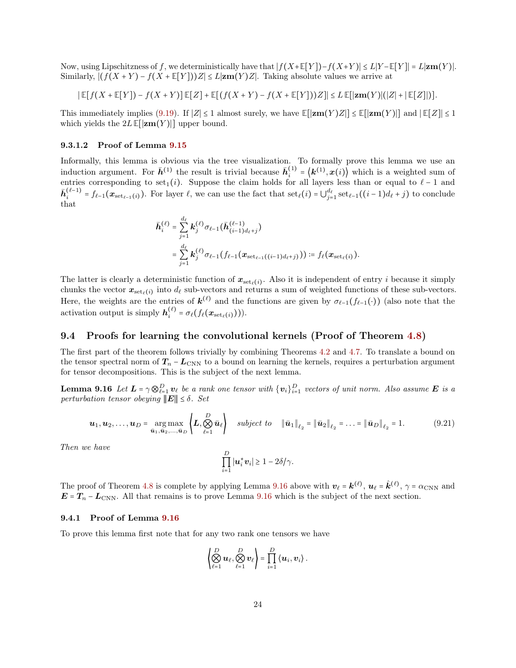Now, using Lipschitzness of f, we deterministically have that  $|f(X+\mathbb{E}[Y])-f(X+Y)| \leq L|Y-\mathbb{E}[Y]| = L|\mathbf{Zm}(Y)|$ . Similarly,  $|(f(X+Y) - f(X+\mathbb{E}[Y]))Z| \leq L|\mathbf{z}\mathbf{m}(Y)Z|$ . Taking absolute values we arrive at

$$
\left|\mathbb{E}[f(X+\mathbb{E}[Y]) - f(X+Y)]\mathbb{E}[Z] + \mathbb{E}[(f(X+Y) - f(X+\mathbb{E}[Y]))Z]\right| \leq L \mathbb{E}[\left|\mathbf{z}\mathbf{m}(Y)\right|(|Z| + \left|\mathbb{E}[Z]\right|)].
$$

This immediately implies [\(9.19\)](#page-21-4). If  $|Z| \leq 1$  almost surely, we have  $\mathbb{E}[|\mathbf{zm}(Y)Z|] \leq \mathbb{E}[|\mathbf{zm}(Y)|]$  and  $|\mathbb{E}[Z]| \leq 1$ which yields the  $2L \mathbb{E}[|\mathbf{z}(\mathbf{w})|]$  upper bound.

#### <span id="page-23-0"></span>9.3.1.2 Proof of Lemma [9.15](#page-21-2)

Informally, this lemma is obvious via the tree visualization. To formally prove this lemma we use an induction argument. For  $\bar{h}^{(1)}$  the result is trivial because  $\bar{h}^{(1)}_i = \langle k^{(1)}, x(i) \rangle$  which is a weighted sum of entries corresponding to set<sub>1</sub>(i). Suppose the claim holds for all layers less than or equal to  $\ell - 1$  and  $\bar{\mathbf{h}}_{i}^{(\ell-1)} = f_{\ell-1}(\mathbf{x}_{\text{set}_{\ell-1}(i)})$ . For layer  $\ell$ , we can use the fact that  $\text{set}_{\ell}(i) = \bigcup_{j=1}^{d_{\ell}} \text{set}_{\ell-1}((i-1)d_{\ell} + j)$  to conclude that

$$
\bar{\boldsymbol{h}}_{i}^{(\ell)} = \sum_{j=1}^{d_{\ell}} \boldsymbol{k}_{j}^{(\ell)} \sigma_{\ell-1} (\bar{\boldsymbol{h}}_{(i-1)d_{\ell}+j}^{(\ell-1)})
$$
\n
$$
= \sum_{j=1}^{d_{\ell}} \boldsymbol{k}_{j}^{(\ell)} \sigma_{\ell-1} (f_{\ell-1}(\boldsymbol{x}_{\text{set}_{\ell-1}((i-1)d_{\ell}+j)})) \coloneqq f_{\ell}(\boldsymbol{x}_{\text{set}_{\ell}(i)}).
$$

The latter is clearly a deterministic function of  $x_{set_{\ell}(i)}$ . Also it is independent of entry *i* because it simply chunks the vector  $x_{\text{set}_{\ell}(i)}$  into  $d_{\ell}$  sub-vectors and returns a sum of weighted functions of these sub-vectors. Here, the weights are the entries of  $\mathbf{k}^{(\ell)}$  and the functions are given by  $\sigma_{\ell-1}(f_{\ell-1}(\cdot))$  (also note that the activation output is simply  $h_i^{(\ell)} = \sigma_\ell(f_\ell(\boldsymbol{x}_{\mathrm{set}_\ell(i)}))).$ 

### 9.4 Proofs for learning the convolutional kernels (Proof of Theorem [4.8\)](#page-6-2)

The first part of the theorem follows trivially by combining Theorems [4.2](#page-4-2) and [4.7.](#page-6-1) To translate a bound on the tensor spectral norm of  $T_n - L_{\text{CNN}}$  to a bound on learning the kernels, requires a perturbation argument for tensor decompositions. This is the subject of the next lemma.

**Lemma 9.16** Let  $L = \gamma \otimes_{\ell=1}^D v_\ell$  be a rank one tensor with  $\{v_i\}_{i=1}^D$  vectors of unit norm. Also assume  $E$  is a perturbation tensor obeying  $\|\boldsymbol{E}\| \leq \delta$ . Set

$$
\boldsymbol{u}_1, \boldsymbol{u}_2, \ldots, \boldsymbol{u}_D = \underset{\bar{\boldsymbol{u}}_1, \bar{\boldsymbol{u}}_2, \ldots, \bar{\boldsymbol{u}}_D}{\arg \max} \left\{ \boldsymbol{L}, \bigotimes_{\ell=1}^D \bar{\boldsymbol{u}}_\ell \right\} \quad \text{subject to} \quad \|\bar{\boldsymbol{u}}_1\|_{\ell_2} = \|\bar{\boldsymbol{u}}_2\|_{\ell_2} = \ldots = \|\bar{\boldsymbol{u}}_D\|_{\ell_2} = 1. \tag{9.21}
$$

Then we have

<span id="page-23-2"></span><span id="page-23-1"></span>
$$
\prod_{i=1}^D |\boldsymbol{u}_i^* \boldsymbol{v}_i| \geq 1 - 2\delta/\gamma.
$$

The proof of Theorem [4.8](#page-6-2) is complete by applying Lemma [9.16](#page-23-1) above with  $v_{\ell} = k^{(\ell)}$ ,  $u_{\ell} = \hat{k}^{(\ell)}$ ,  $\gamma = \alpha_{\text{CNN}}$  and  $E = T_n - L_{\text{CNN}}$ . All that remains is to prove Lemma [9.16](#page-23-1) which is the subject of the next section.

#### 9.4.1 Proof of Lemma [9.16](#page-23-1)

To prove this lemma first note that for any two rank one tensors we have

$$
\left\langle \bigotimes_{\ell=1}^D u_\ell, \bigotimes_{\ell=1}^D v_\ell \right\rangle = \prod_{i=1}^D \left\langle u_i, v_i \right\rangle.
$$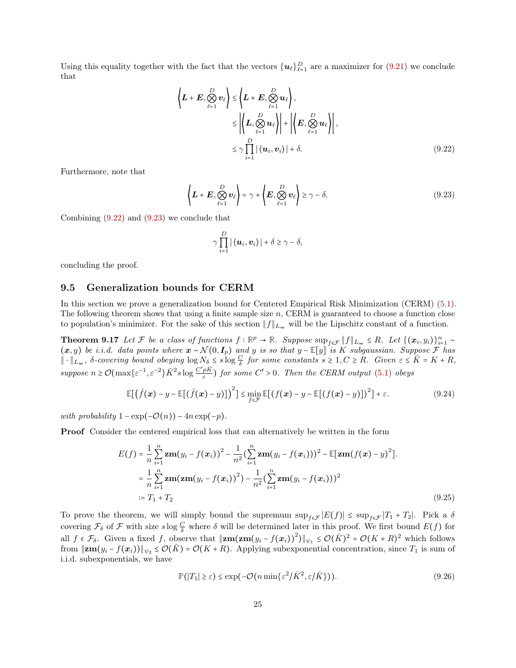Using this equality together with the fact that the vectors  $\{u_{\ell}\}_{\ell=1}^D$  are a maximizer for [\(9.21\)](#page-23-2) we conclude that

$$
\left\langle L+E, \bigotimes_{\ell=1}^{D} v_{\ell} \right\rangle \leq \left\langle L+E, \bigotimes_{\ell=1}^{D} u_{\ell} \right\rangle, \leq \left| \left\langle L, \bigotimes_{\ell=1}^{D} u_{\ell} \right\rangle \right| + \left| \left\langle E, \bigotimes_{\ell=1}^{D} u_{\ell} \right\rangle \right|, \leq \gamma \prod_{i=1}^{D} |\left\langle u_i, v_i \right\rangle| + \delta.
$$
\n(9.22)

Furthermore, note that

$$
\left\langle \boldsymbol{L} + \boldsymbol{E}, \bigotimes_{\ell=1}^{D} \boldsymbol{v}_{\ell} \right\rangle = \gamma + \left\langle \boldsymbol{E}, \bigotimes_{\ell=1}^{D} \boldsymbol{v}_{\ell} \right\rangle \geq \gamma - \delta. \tag{9.23}
$$

Combining [\(9.22\)](#page-24-2) and [\(9.23\)](#page-24-3) we conclude that

<span id="page-24-6"></span><span id="page-24-3"></span><span id="page-24-2"></span><span id="page-24-1"></span>
$$
\gamma \prod_{i=1}^D |\langle \boldsymbol{u}_i, \boldsymbol{v}_i \rangle| + \delta \ge \gamma - \delta,
$$

<span id="page-24-0"></span>concluding the proof.

### 9.5 Generalization bounds for CERM

In this section we prove a generalization bound for Centered Empirical Risk Minimization (CERM) [\(5.1\)](#page-7-1). The following theorem shows that using a finite sample size n, CERM is guaranteed to choose a function close to population's minimizer. For the sake of this section  $||f||_{L_{\infty}}$  will be the Lipschitz constant of a function.

**Theorem 9.17** Let F be a class of functions  $f : \mathbb{R}^p \to \mathbb{R}$ . Suppose  $\sup_{f \in \mathcal{F}} ||f||_{L_{\infty}} \leq R$ . Let  $\{(\bm{x}_i, y_i)\}_{i=1}^n \sim$  $(x, y)$  be i.i.d. data points where  $x \sim \mathcal{N}(0, I_p)$  and y is so that y –  $\mathbb{E}[y]$  is K subgaussian. Suppose F has  $\|\cdot\|_{L_{\infty}}$ ,  $\delta$ -covering bound obeying  $\log N_{\delta} \leq s \log \frac{C}{\delta}$  for some constants  $s \geq 1, C \geq R$ . Given  $\varepsilon \leq \overline{K} = K + R$ , suppose  $n \geq \mathcal{O}(\max\{\varepsilon^{-1}, \varepsilon^{-2}\}\bar{K}^2 s \log \frac{C'p\bar{K}}{\varepsilon})$  $\frac{pR}{\varepsilon}$ ) for some  $C' > 0$ . Then the CERM output [\(5.1\)](#page-7-1) obeys

$$
\mathbb{E}[(\hat{f}(\boldsymbol{x}) - y - \mathbb{E}[(\hat{f}(\boldsymbol{x}) - y)]]^2] \le \min_{f \in \mathcal{F}} \mathbb{E}[(f(\boldsymbol{x}) - y - \mathbb{E}[(f(\boldsymbol{x}) - y)])^2] + \varepsilon. \tag{9.24}
$$

with probability  $1 - \exp(-\mathcal{O}(n)) - 4n \exp(-p)$ .

Proof Consider the centered empirical loss that can alternatively be written in the form

$$
E(f) = \frac{1}{n} \sum_{i=1}^{n} \mathbf{z} \mathbf{m}(y_i - f(\mathbf{x}_i))^2 - \frac{1}{n^2} \left( \sum_{i=1}^{n} \mathbf{z} \mathbf{m}(y_i - f(\mathbf{x}_i)) \right)^2 - \mathbb{E}[\mathbf{z} \mathbf{m}(f(\mathbf{x}) - y)^2].
$$
  
\n
$$
= \frac{1}{n} \sum_{i=1}^{n} \mathbf{z} \mathbf{m} (\mathbf{z} \mathbf{m}(y_i - f(\mathbf{x}_i))^2) - \frac{1}{n^2} \left( \sum_{i=1}^{n} \mathbf{z} \mathbf{m}(y_i - f(\mathbf{x}_i)) \right)^2
$$
  
\n
$$
:= T_1 + T_2
$$
 (9.25)

To prove the theorem, we will simply bound the supremum  $\sup_{f \in \mathcal{F}} |E(f)| \leq \sup_{f \in \mathcal{F}} |T_1 + T_2|$ . Pick a  $\delta$ covering  $\mathcal{F}_{\delta}$  of  $\mathcal F$  with size  $s \log \frac{C}{\delta}$  where  $\delta$  will be determined later in this proof. We first bound  $E(f)$  for all  $f \in \mathcal{F}_{\delta}$ . Given a fixed f, observe that  $\Vert \mathbf{z}\mathbf{m}(\mathbf{z}\mathbf{m}(y_i - f(\mathbf{x}_i))^2) \Vert_{\psi_1} \leq \mathcal{O}(\bar{K})^2 = \mathcal{O}(K + R)^2$  which follows from  $\|\mathbf{z}\mathbf{m}(y_i - f(\mathbf{x}_i))\|_{\psi_2} \leq \mathcal{O}(\bar{K}) = \mathcal{O}(K+R)$ . Applying subexponential concentration, since  $T_1$  is sum of i.i.d. subexponentials, we have

<span id="page-24-5"></span><span id="page-24-4"></span>
$$
\mathbb{P}(|T_1| \ge \varepsilon) \le \exp(-\mathcal{O}(n\min\{\varepsilon^2/\bar{K}^2, \varepsilon/\bar{K}\})).\tag{9.26}
$$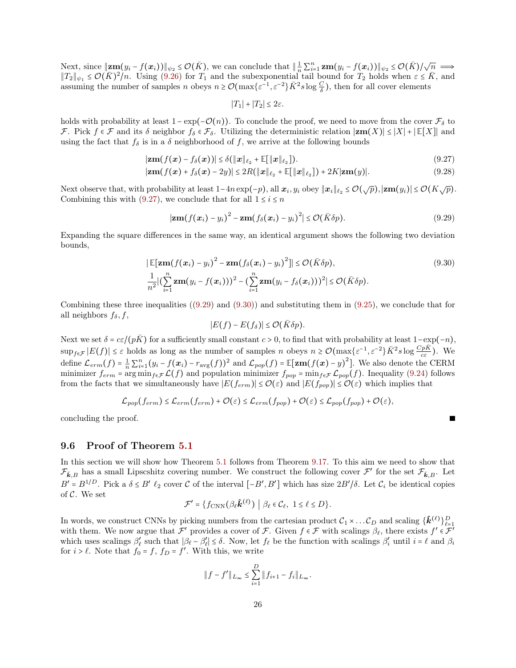Next, since  $\|\mathbf{z}\|_{(\mathcal{Y}^i - f(\mathbf{x}_i))} \leq \mathcal{O}(\bar{K})$ , we can conclude that  $\|\frac{1}{n}\sum_{i=1}^n \mathbf{z}\mathbf{m}(y_i - f(\mathbf{x}_i))\|_{\psi_2} \leq \mathcal{O}(\bar{K})/\sqrt{n} \implies$  $||T_2||_{\psi_1} \leq \mathcal{O}(\bar{K})^2/n$ . Using [\(9.26\)](#page-24-4) for  $T_1$  and the subexponential tail bound for  $T_2$  holds when  $\varepsilon \leq \bar{K}$ , and assuming the number of samples n obeys  $n \geq \mathcal{O}(\max\{\varepsilon^{-1}, \varepsilon^{-2}\}\bar{K}^2 s \log \frac{C}{\delta})$ , then for all cover elements

<span id="page-25-0"></span>
$$
|T_1| + |T_2| \le 2\varepsilon.
$$

holds with probability at least  $1 - \exp(-\mathcal{O}(n))$ . To conclude the proof, we need to move from the cover  $\mathcal{F}_{\delta}$  to F. Pick  $f \in \mathcal{F}$  and its δ neighbor  $f_\delta \in \mathcal{F}_\delta$ . Utilizing the deterministic relation  $|\mathbf{zm}(X)| \leq |X| + |\mathbb{E}[X]|$  and using the fact that  $f_{\delta}$  is in a  $\delta$  neighborhood of f, we arrive at the following bounds

$$
|\mathbf{z}\mathbf{m}(f(\mathbf{x}) - f_{\delta}(\mathbf{x}))| \leq \delta(\|\mathbf{x}\|_{\ell_2} + \mathbb{E}[\|\mathbf{x}\|_{\ell_2}]). \tag{9.27}
$$

$$
|\mathbf{z}\mathbf{m}(f(\mathbf{x}) + f_{\delta}(\mathbf{x}) - 2y)| \le 2R(||\mathbf{x}||_{\ell_2} + \mathbb{E}[||\mathbf{x}||_{\ell_2}]) + 2K|\mathbf{z}\mathbf{m}(y)|.
$$
 (9.28)

Next observe that, with probability at least  $1-4n \exp(-p)$ , all  $\mathbf{x}_i, y_i$  obey  $\|\mathbf{x}_i\|_{\ell_2} \leq \mathcal{O}(\sqrt{p}), |\mathbf{z} \mathbf{m}(y_i)| \leq \mathcal{O}(K\sqrt{p}).$ Combining this with [\(9.27\)](#page-25-0), we conclude that for all  $1 \leq i \leq n$ 

$$
|\mathbf{z}\mathbf{m}(f(\mathbf{x}_i)-y_i)^2-\mathbf{z}\mathbf{m}(f_\delta(\mathbf{x}_i)-y_i)^2|\leq \mathcal{O}(\bar{K}\delta p). \hspace{1cm} (9.29)
$$

Expanding the square differences in the same way, an identical argument shows the following two deviation bounds,

$$
|\mathbb{E}[\mathbf{z}\mathbf{m}(f(\mathbf{x}_i) - y_i)^2 - \mathbf{z}\mathbf{m}(f_\delta(\mathbf{x}_i) - y_i)^2]| \le \mathcal{O}(\bar{K}\delta p),
$$
\n
$$
\frac{1}{n^2} |(\sum_{i=1}^n \mathbf{z}\mathbf{m}(y_i - f(\mathbf{x}_i)))^2 - (\sum_{i=1}^n \mathbf{z}\mathbf{m}(y_i - f_\delta(\mathbf{x}_i)))^2| \le \mathcal{O}(\bar{K}\delta p).
$$
\n(9.30)

Combining these three inequalities  $((9.29)$  $((9.29)$  and  $(9.30)$  and substituting them in  $(9.25)$ , we conclude that for all neighbors  $f_{\delta}, f$ ,

$$
|E(f)-E(f_\delta)|\leq \mathcal{O}(\bar{K}\delta p).
$$

Next we set  $\delta = c\varepsilon/(p\bar{K})$  for a sufficiently small constant  $c > 0$ , to find that with probability at least  $1-\exp(-n)$ ,  $\sup_{f \in \mathcal{F}} |E(f)| \leq \varepsilon$  holds as long as the number of samples n obeys  $n \geq \mathcal{O}(\max\{\varepsilon^{-1}, \varepsilon^{-2}\}\bar{K}^2 s \log \frac{C_p \bar{K}}{c \varepsilon})$ . We define  $\mathcal{L}_{erm}(f) = \frac{1}{n} \sum_{i=1}^{n} (y_i - f(\mathbf{x}_i) - r_{\text{avg}}(f))^2$  and  $\mathcal{L}_{pop}(f) = \mathbb{E}[\mathbf{z}\mathbf{m}(f(\mathbf{x}) - y)^2]$ . We also denote the CERM minimizer  $f_{erm} = \arg \min_{f \in \mathcal{F}} \mathcal{L}(f)$  and population minimizer  $f_{pop} = \min_{f \in \mathcal{F}} \mathcal{L}_{pop}(f)$ . Inequality [\(9.24\)](#page-24-6) follows from the facts that we simultaneously have  $|E(f_{erm})| \leq \mathcal{O}(\varepsilon)$  and  $|E(f_{pop})| \leq \mathcal{O}(\varepsilon)$  which implies that

$$
\mathcal{L}_{pop}(f_{erm}) \leq \mathcal{L}_{erm}(f_{erm}) + \mathcal{O}(\varepsilon) \leq \mathcal{L}_{erm}(f_{pop}) + \mathcal{O}(\varepsilon) \leq \mathcal{L}_{pop}(f_{pop}) + \mathcal{O}(\varepsilon),
$$

concluding the proof.

#### 9.6 Proof of Theorem [5.1](#page-8-4)

In this section we will show how Theorem [5.1](#page-8-4) follows from Theorem [9.17.](#page-24-1) To this aim we need to show that  $\mathcal{F}_{\hat{k},B}$  has a small Lipscshitz covering number. We construct the following cover  $\mathcal{F}'$  for the set  $\mathcal{F}_{\hat{k},B}$ . Let  $B' = B^{1/D}$ . Pick a  $\delta \leq B' \ell_2$  cover C of the interval  $[-B', B']$  which has size  $2B'/\delta$ . Let  $C_i$  be identical copies of C. We set

$$
\mathcal{F}' = \{f_{\text{CNN}}(\beta_{\ell}\hat{\boldsymbol{k}}^{(\ell)}) \mid \beta_{\ell} \in \mathcal{C}_{\ell}, \ 1 \leq \ell \leq D\}.
$$

In words, we construct CNNs by picking numbers from the cartesian product  $\mathcal{C}_1 \times \ldots \mathcal{C}_D$  and scaling  $\{\hat{\mathbf{k}}^{(\ell)}\}_{\ell=1}^D$ with them. We now argue that  $\mathcal{F}'$  provides a cover of  $\mathcal{F}$ . Given  $f \in \mathcal{F}$  with scalings  $\beta_{\ell}$ , there exists  $f' \in \mathcal{F}'$ which uses scalings  $\beta'_\ell$  such that  $|\beta_\ell - \beta'_\ell| \le \delta$ . Now, let  $f_\ell$  be the function with scalings  $\beta'_i$  until  $i = \ell$  and  $\beta_i$ for  $i > \ell$ . Note that  $f_0 = f$ ,  $f_D = f'$ . With this, we write

$$
||f - f'||_{L_{\infty}} \leq \sum_{i=1}^{D} ||f_{i+1} - f_i||_{L_{\infty}}.
$$

<span id="page-25-2"></span><span id="page-25-1"></span>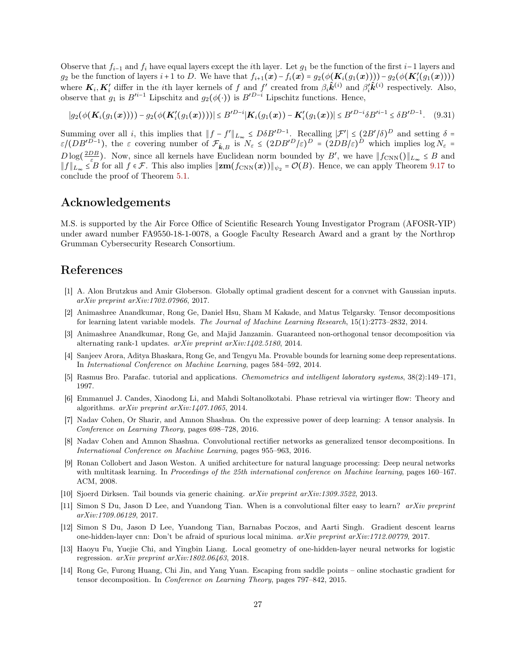Observe that  $f_{i-1}$  and  $f_i$  have equal layers except the *i*th layer. Let  $g_1$  be the function of the first  $i-1$  layers and g<sub>2</sub> be the function of layers  $i+1$  to D. We have that  $f_{i+1}(\boldsymbol{x}) - f_i(\boldsymbol{x}) = g_2(\phi(\boldsymbol{K}_i(g_1(\boldsymbol{x})))) - g_2(\phi(\boldsymbol{K}'_i(g_1(\boldsymbol{x}))))$ where  $K_i, K'_i$  differ in the *i*th layer kernels of f and f' created from  $\beta_i \hat{k}^{(i)}$  and  $\beta'_i \hat{k}^{(i)}$  respectively. Also, observe that  $g_1$  is  $B'^{i-1}$  Lipschitz and  $g_2(\phi(\cdot))$  is  $B'^{D-i}$  Lipschitz functions. Hence,

$$
|g_2(\phi(\mathbf{K}_i(g_1(\boldsymbol{x})))) - g_2(\phi(\mathbf{K}'_i(g_1(\boldsymbol{x}))))| \leq B'^{D-i}|\mathbf{K}_i(g_1(\boldsymbol{x})) - \mathbf{K}'_i(g_1(\boldsymbol{x}))| \leq B'^{D-i} \delta B'^{i-1} \leq \delta B'^{D-1}.
$$
 (9.31)

Summing over all *i*, this implies that  $||f - f'||_{L_{\infty}} \leq D\delta B^{D-1}$ . Recalling  $|\mathcal{F}'| \leq (2B'/\delta)^D$  and setting  $\delta =$  $\varepsilon/(DB'^{D-1})$ , the  $\varepsilon$  covering number of  $\mathcal{F}_{\hat{k},B}$  is  $N_{\varepsilon} \leq (2DB'^D/\varepsilon)^D = (2DB/\varepsilon)^D$  which implies  $\log N_{\varepsilon} =$  $D \log(\frac{2DB}{\varepsilon})$ . Now, since all kernels have Euclidean norm bounded by B', we have  $||f_{\text{CNN}}(||_{L_{\infty}} \leq B)$  and  $||f||_{L_{\infty}} \leq B$  for all  $f \in \mathcal{F}$ . This also implies  $||\mathbf{z}m(f_{\text{CNN}}(\boldsymbol{x}))||_{\psi_2} = \mathcal{O}(B)$ . Hence, we can apply Theorem [9.17](#page-24-1) to conclude the proof of Theorem [5.1.](#page-8-4)

### Acknowledgements

M.S. is supported by the Air Force Office of Scientific Research Young Investigator Program (AFOSR-YIP) under award number FA9550-18-1-0078, a Google Faculty Research Award and a grant by the Northrop Grumman Cybersecurity Research Consortium.

# References

- <span id="page-26-1"></span>[1] A. Alon Brutzkus and Amir Globerson. Globally optimal gradient descent for a convnet with Gaussian inputs. arXiv preprint arXiv:1702.07966, 2017.
- <span id="page-26-4"></span>[2] Animashree Anandkumar, Rong Ge, Daniel Hsu, Sham M Kakade, and Matus Telgarsky. Tensor decompositions for learning latent variable models. The Journal of Machine Learning Research, 15(1):2773–2832, 2014.
- <span id="page-26-5"></span>[3] Animashree Anandkumar, Rong Ge, and Majid Janzamin. Guaranteed non-orthogonal tensor decomposition via alternating rank-1 updates. arXiv preprint arXiv:1402.5180, 2014.
- <span id="page-26-11"></span>[4] Sanjeev Arora, Aditya Bhaskara, Rong Ge, and Tengyu Ma. Provable bounds for learning some deep representations. In International Conference on Machine Learning, pages 584–592, 2014.
- <span id="page-26-3"></span>[5] Rasmus Bro. Parafac. tutorial and applications. Chemometrics and intelligent laboratory systems, 38(2):149–171, 1997.
- <span id="page-26-7"></span>[6] Emmanuel J. Candes, Xiaodong Li, and Mahdi Soltanolkotabi. Phase retrieval via wirtinger flow: Theory and algorithms. arXiv preprint arXiv:1407.1065, 2014.
- <span id="page-26-2"></span>[7] Nadav Cohen, Or Sharir, and Amnon Shashua. On the expressive power of deep learning: A tensor analysis. In Conference on Learning Theory, pages 698–728, 2016.
- <span id="page-26-12"></span>[8] Nadav Cohen and Amnon Shashua. Convolutional rectifier networks as generalized tensor decompositions. In International Conference on Machine Learning, pages 955–963, 2016.
- <span id="page-26-0"></span>[9] Ronan Collobert and Jason Weston. A unified architecture for natural language processing: Deep neural networks with multitask learning. In Proceedings of the 25th international conference on Machine learning, pages 160–167. ACM, 2008.
- <span id="page-26-13"></span>[10] Sjoerd Dirksen. Tail bounds via generic chaining. arXiv preprint arXiv:1309.3522, 2013.
- <span id="page-26-9"></span>[11] Simon S Du, Jason D Lee, and Yuandong Tian. When is a convolutional filter easy to learn? arXiv preprint arXiv:1709.06129, 2017.
- <span id="page-26-10"></span>[12] Simon S Du, Jason D Lee, Yuandong Tian, Barnabas Poczos, and Aarti Singh. Gradient descent learns one-hidden-layer cnn: Don't be afraid of spurious local minima. arXiv preprint arXiv:1712.00779, 2017.
- <span id="page-26-8"></span>[13] Haoyu Fu, Yuejie Chi, and Yingbin Liang. Local geometry of one-hidden-layer neural networks for logistic regression. arXiv preprint arXiv:1802.06463, 2018.
- <span id="page-26-6"></span>[14] Rong Ge, Furong Huang, Chi Jin, and Yang Yuan. Escaping from saddle points – online stochastic gradient for tensor decomposition. In Conference on Learning Theory, pages 797–842, 2015.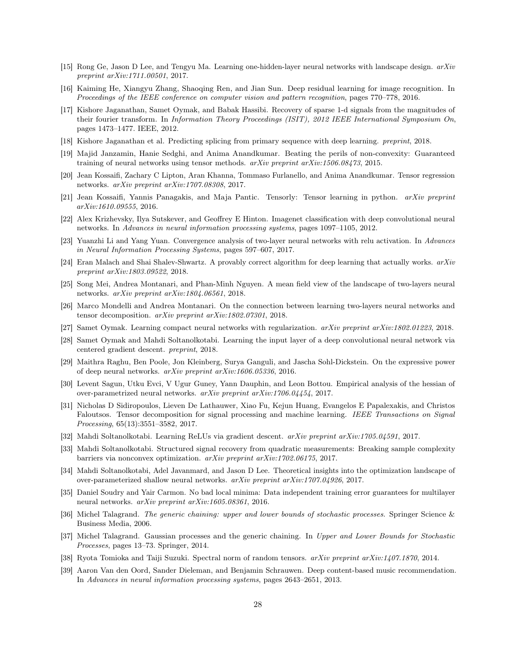- <span id="page-27-13"></span>[15] Rong Ge, Jason D Lee, and Tengyu Ma. Learning one-hidden-layer neural networks with landscape design. arXiv preprint arXiv:1711.00501, 2017.
- <span id="page-27-0"></span>[16] Kaiming He, Xiangyu Zhang, Shaoqing Ren, and Jian Sun. Deep residual learning for image recognition. In Proceedings of the IEEE conference on computer vision and pattern recognition, pages 770–778, 2016.
- <span id="page-27-14"></span>[17] Kishore Jaganathan, Samet Oymak, and Babak Hassibi. Recovery of sparse 1-d signals from the magnitudes of their fourier transform. In Information Theory Proceedings (ISIT), 2012 IEEE International Symposium On, pages 1473–1477. IEEE, 2012.
- <span id="page-27-1"></span>[18] Kishore Jaganathan et al. Predicting splicing from primary sequence with deep learning. preprint, 2018.
- <span id="page-27-4"></span>[19] Majid Janzamin, Hanie Sedghi, and Anima Anandkumar. Beating the perils of non-convexity: Guaranteed training of neural networks using tensor methods. arXiv preprint arXiv:1506.08473, 2015.
- <span id="page-27-20"></span>[20] Jean Kossaifi, Zachary C Lipton, Aran Khanna, Tommaso Furlanello, and Anima Anandkumar. Tensor regression networks. arXiv preprint arXiv:1707.08308, 2017.
- <span id="page-27-12"></span>[21] Jean Kossaifi, Yannis Panagakis, and Maja Pantic. Tensorly: Tensor learning in python. arXiv preprint arXiv:1610.09555, 2016.
- <span id="page-27-2"></span>[22] Alex Krizhevsky, Ilya Sutskever, and Geoffrey E Hinton. Imagenet classification with deep convolutional neural networks. In Advances in neural information processing systems, pages 1097–1105, 2012.
- <span id="page-27-5"></span>[23] Yuanzhi Li and Yang Yuan. Convergence analysis of two-layer neural networks with relu activation. In Advances in Neural Information Processing Systems, pages 597–607, 2017.
- <span id="page-27-18"></span>[24] Eran Malach and Shai Shalev-Shwartz. A provably correct algorithm for deep learning that actually works. arXiv preprint arXiv:1803.09522, 2018.
- <span id="page-27-6"></span>[25] Song Mei, Andrea Montanari, and Phan-Minh Nguyen. A mean field view of the landscape of two-layers neural networks. arXiv preprint arXiv:1804.06561, 2018.
- <span id="page-27-21"></span>[26] Marco Mondelli and Andrea Montanari. On the connection between learning two-layers neural networks and tensor decomposition. arXiv preprint arXiv:1802.07301, 2018.
- <span id="page-27-7"></span>[27] Samet Oymak. Learning compact neural networks with regularization. arXiv preprint arXiv:1802.01223, 2018.
- <span id="page-27-11"></span>[28] Samet Oymak and Mahdi Soltanolkotabi. Learning the input layer of a deep convolutional neural network via centered gradient descent. preprint, 2018.
- <span id="page-27-10"></span>[29] Maithra Raghu, Ben Poole, Jon Kleinberg, Surya Ganguli, and Jascha Sohl-Dickstein. On the expressive power of deep neural networks. arXiv preprint arXiv:1606.05336, 2016.
- <span id="page-27-16"></span>[30] Levent Sagun, Utku Evci, V Ugur Guney, Yann Dauphin, and Leon Bottou. Empirical analysis of the hessian of over-parametrized neural networks. arXiv preprint arXiv:1706.04454, 2017.
- <span id="page-27-19"></span>[31] Nicholas D Sidiropoulos, Lieven De Lathauwer, Xiao Fu, Kejun Huang, Evangelos E Papalexakis, and Christos Faloutsos. Tensor decomposition for signal processing and machine learning. IEEE Transactions on Signal Processing, 65(13):3551–3582, 2017.
- <span id="page-27-8"></span>[32] Mahdi Soltanolkotabi. Learning ReLUs via gradient descent. arXiv preprint arXiv:1705.04591, 2017.
- <span id="page-27-15"></span>[33] Mahdi Soltanolkotabi. Structured signal recovery from quadratic measurements: Breaking sample complexity barriers via nonconvex optimization. arXiv preprint arXiv:1702.06175, 2017.
- <span id="page-27-9"></span>[34] Mahdi Soltanolkotabi, Adel Javanmard, and Jason D Lee. Theoretical insights into the optimization landscape of over-parameterized shallow neural networks. arXiv preprint arXiv:1707.04926, 2017.
- <span id="page-27-17"></span>[35] Daniel Soudry and Yair Carmon. No bad local minima: Data independent training error guarantees for multilayer neural networks. arXiv preprint arXiv:1605.08361, 2016.
- <span id="page-27-23"></span>[36] Michel Talagrand. The generic chaining: upper and lower bounds of stochastic processes. Springer Science & Business Media, 2006.
- <span id="page-27-22"></span>[37] Michel Talagrand. Gaussian processes and the generic chaining. In Upper and Lower Bounds for Stochastic Processes, pages 13–73. Springer, 2014.
- <span id="page-27-24"></span>[38] Ryota Tomioka and Taiji Suzuki. Spectral norm of random tensors. arXiv preprint arXiv:1407.1870, 2014.
- <span id="page-27-3"></span>[39] Aaron Van den Oord, Sander Dieleman, and Benjamin Schrauwen. Deep content-based music recommendation. In Advances in neural information processing systems, pages 2643–2651, 2013.